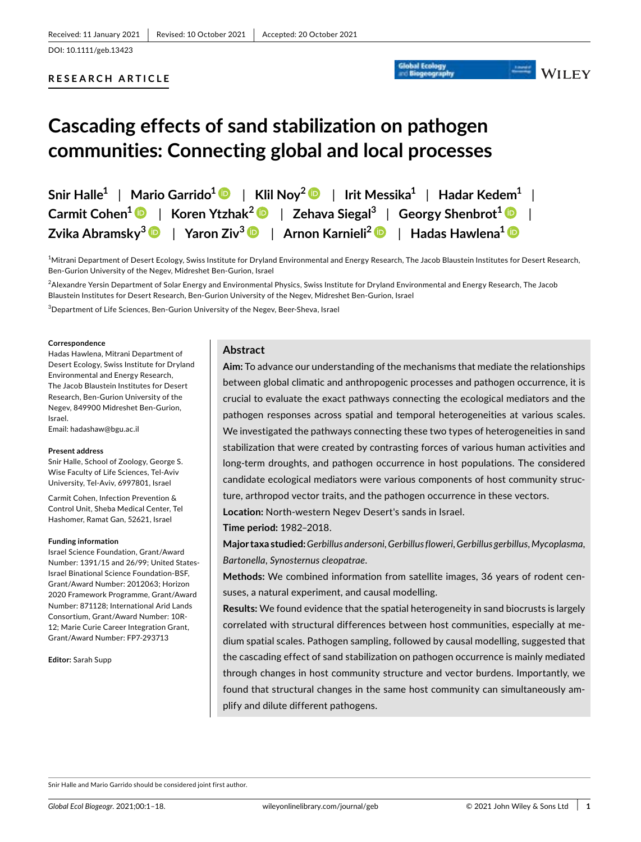## **RESEARCH ARTICLE**



# **Cascading effects of sand stabilization on pathogen communities: Connecting global and local processes**

| Snir Halle <sup>1</sup>   Mario Garrido <sup>1</sup> $\bullet$   Klil Noy <sup>2</sup> $\bullet$   Irit Messika <sup>1</sup>   Hadar Kedem <sup>1</sup> |
|---------------------------------------------------------------------------------------------------------------------------------------------------------|
| Carmit Cohen <sup>1</sup> $\bullet$   Koren Ytzhak <sup>2</sup> $\bullet$   Zehava Siegal <sup>3</sup>   Georgy Shenbrot <sup>1</sup> $\bullet$         |
| Zvika Abramsky $^3$ D $\,$   Yaron Ziv $^3$ D $\,$   Arnon Karnieli $^2$ D $\,$   Hadas Hawlena $^1$ D                                                  |

1 Mitrani Department of Desert Ecology, Swiss Institute for Dryland Environmental and Energy Research, The Jacob Blaustein Institutes for Desert Research, Ben-Gurion University of the Negev, Midreshet Ben-Gurion, Israel

2 Alexandre Yersin Department of Solar Energy and Environmental Physics, Swiss Institute for Dryland Environmental and Energy Research, The Jacob Blaustein Institutes for Desert Research, Ben-Gurion University of the Negev, Midreshet Ben-Gurion, Israel

 $^3$ Department of Life Sciences, Ben-Gurion University of the Negev, Beer-Sheva, Israel

#### **Correspondence**

Hadas Hawlena, Mitrani Department of Desert Ecology, Swiss Institute for Dryland Environmental and Energy Research, The Jacob Blaustein Institutes for Desert Research, Ben-Gurion University of the Negev, 849900 Midreshet Ben-Gurion, Israel.

Email: [hadashaw@bgu.ac.il](mailto:hadashaw@bgu.ac.il)

#### **Present address**

Snir Halle, School of Zoology, George S. Wise Faculty of Life Sciences, Tel-Aviv University, Tel-Aviv, 6997801, Israel

Carmit Cohen, Infection Prevention & Control Unit, Sheba Medical Center, Tel Hashomer, Ramat Gan, 52621, Israel

#### **Funding information**

Israel Science Foundation, Grant/Award Number: 1391/15 and 26/99; United States-Israel Binational Science Foundation-BSF, Grant/Award Number: 2012063; Horizon 2020 Framework Programme, Grant/Award Number: 871128; International Arid Lands Consortium, Grant/Award Number: 10R-12; Marie Curie Career Integration Grant, Grant/Award Number: FP7-293713

**Editor:** Sarah Supp

## **Abstract**

**Aim:** To advance our understanding of the mechanisms that mediate the relationships between global climatic and anthropogenic processes and pathogen occurrence, it is crucial to evaluate the exact pathways connecting the ecological mediators and the pathogen responses across spatial and temporal heterogeneities at various scales. We investigated the pathways connecting these two types of heterogeneities in sand stabilization that were created by contrasting forces of various human activities and long-term droughts, and pathogen occurrence in host populations. The considered candidate ecological mediators were various components of host community structure, arthropod vector traits, and the pathogen occurrence in these vectors. **Location:** North-western Negev Desert's sands in Israel.

**Time period:** 1982–2018.

**Major taxa studied:** *Gerbillus andersoni*, *Gerbillus floweri*, *Gerbillus gerbillus*, *Mycoplasma*, *Bartonella*, *Synosternus cleopatrae*.

**Methods:** We combined information from satellite images, 36 years of rodent censuses, a natural experiment, and causal modelling.

**Results:** We found evidence that the spatial heterogeneity in sand biocrusts is largely correlated with structural differences between host communities, especially at medium spatial scales. Pathogen sampling, followed by causal modelling, suggested that the cascading effect of sand stabilization on pathogen occurrence is mainly mediated through changes in host community structure and vector burdens. Importantly, we found that structural changes in the same host community can simultaneously amplify and dilute different pathogens.

Snir Halle and Mario Garrido should be considered joint first author.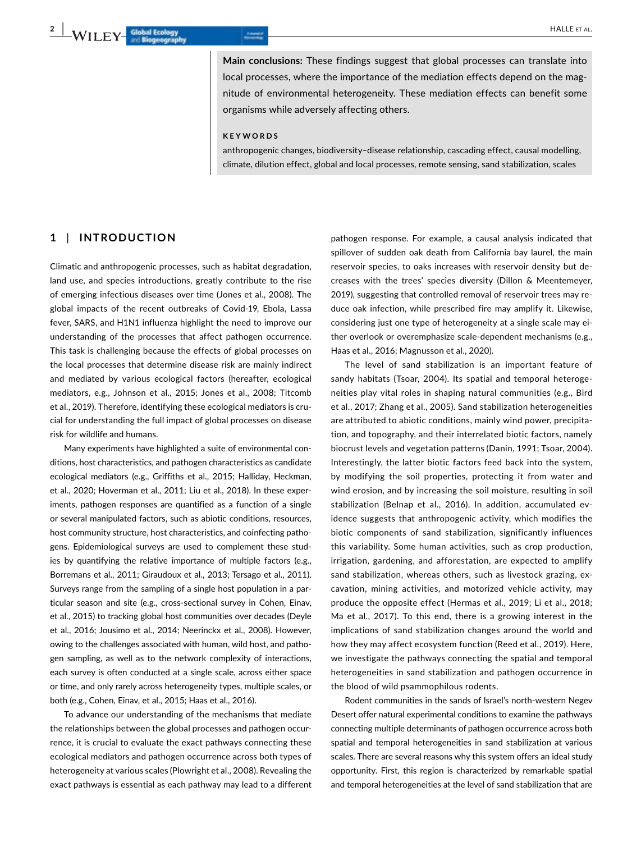**Main conclusions:** These findings suggest that global processes can translate into local processes, where the importance of the mediation effects depend on the magnitude of environmental heterogeneity. These mediation effects can benefit some organisms while adversely affecting others.

#### **KEYWORDS**

anthropogenic changes, biodiversity–disease relationship, cascading effect, causal modelling, climate, dilution effect, global and local processes, remote sensing, sand stabilization, scales

# **1** | **INTRODUCTION**

Climatic and anthropogenic processes, such as habitat degradation, land use, and species introductions, greatly contribute to the rise of emerging infectious diseases over time (Jones et al., 2008). The global impacts of the recent outbreaks of Covid-19, Ebola, Lassa fever, SARS, and H1N1 influenza highlight the need to improve our understanding of the processes that affect pathogen occurrence. This task is challenging because the effects of global processes on the local processes that determine disease risk are mainly indirect and mediated by various ecological factors (hereafter, ecological mediators, e.g., Johnson et al., 2015; Jones et al., 2008; Titcomb et al., 2019). Therefore, identifying these ecological mediators is crucial for understanding the full impact of global processes on disease risk for wildlife and humans.

Many experiments have highlighted a suite of environmental conditions, host characteristics, and pathogen characteristics as candidate ecological mediators (e.g., Griffiths et al., 2015; Halliday, Heckman, et al., 2020; Hoverman et al., 2011; Liu et al., 2018). In these experiments, pathogen responses are quantified as a function of a single or several manipulated factors, such as abiotic conditions, resources, host community structure, host characteristics, and coinfecting pathogens. Epidemiological surveys are used to complement these studies by quantifying the relative importance of multiple factors (e.g., Borremans et al., 2011; Giraudoux et al., 2013; Tersago et al., 2011). Surveys range from the sampling of a single host population in a particular season and site (e.g., cross-sectional survey in Cohen, Einav, et al., 2015) to tracking global host communities over decades (Deyle et al., 2016; Jousimo et al., 2014; Neerinckx et al., 2008). However, owing to the challenges associated with human, wild host, and pathogen sampling, as well as to the network complexity of interactions, each survey is often conducted at a single scale, across either space or time, and only rarely across heterogeneity types, multiple scales, or both (e.g., Cohen, Einav, et al., 2015; Haas et al., 2016).

To advance our understanding of the mechanisms that mediate the relationships between the global processes and pathogen occurrence, it is crucial to evaluate the exact pathways connecting these ecological mediators and pathogen occurrence across both types of heterogeneity at various scales (Plowright et al., 2008). Revealing the exact pathways is essential as each pathway may lead to a different

pathogen response. For example, a causal analysis indicated that spillover of sudden oak death from California bay laurel, the main reservoir species, to oaks increases with reservoir density but decreases with the trees' species diversity (Dillon & Meentemeyer, 2019), suggesting that controlled removal of reservoir trees may reduce oak infection, while prescribed fire may amplify it. Likewise, considering just one type of heterogeneity at a single scale may either overlook or overemphasize scale-dependent mechanisms (e.g., Haas et al., 2016; Magnusson et al., 2020).

The level of sand stabilization is an important feature of sandy habitats (Tsoar, 2004). Its spatial and temporal heterogeneities play vital roles in shaping natural communities (e.g., Bird et al., 2017; Zhang et al., 2005). Sand stabilization heterogeneities are attributed to abiotic conditions, mainly wind power, precipitation, and topography, and their interrelated biotic factors, namely biocrust levels and vegetation patterns (Danin, 1991; Tsoar, 2004). Interestingly, the latter biotic factors feed back into the system, by modifying the soil properties, protecting it from water and wind erosion, and by increasing the soil moisture, resulting in soil stabilization (Belnap et al., 2016). In addition, accumulated evidence suggests that anthropogenic activity, which modifies the biotic components of sand stabilization, significantly influences this variability. Some human activities, such as crop production, irrigation, gardening, and afforestation, are expected to amplify sand stabilization, whereas others, such as livestock grazing, excavation, mining activities, and motorized vehicle activity, may produce the opposite effect (Hermas et al., 2019; Li et al., 2018; Ma et al., 2017). To this end, there is a growing interest in the implications of sand stabilization changes around the world and how they may affect ecosystem function (Reed et al., 2019). Here, we investigate the pathways connecting the spatial and temporal heterogeneities in sand stabilization and pathogen occurrence in the blood of wild psammophilous rodents.

Rodent communities in the sands of Israel's north-western Negev Desert offer natural experimental conditions to examine the pathways connecting multiple determinants of pathogen occurrence across both spatial and temporal heterogeneities in sand stabilization at various scales. There are several reasons why this system offers an ideal study opportunity. First, this region is characterized by remarkable spatial and temporal heterogeneities at the level of sand stabilization that are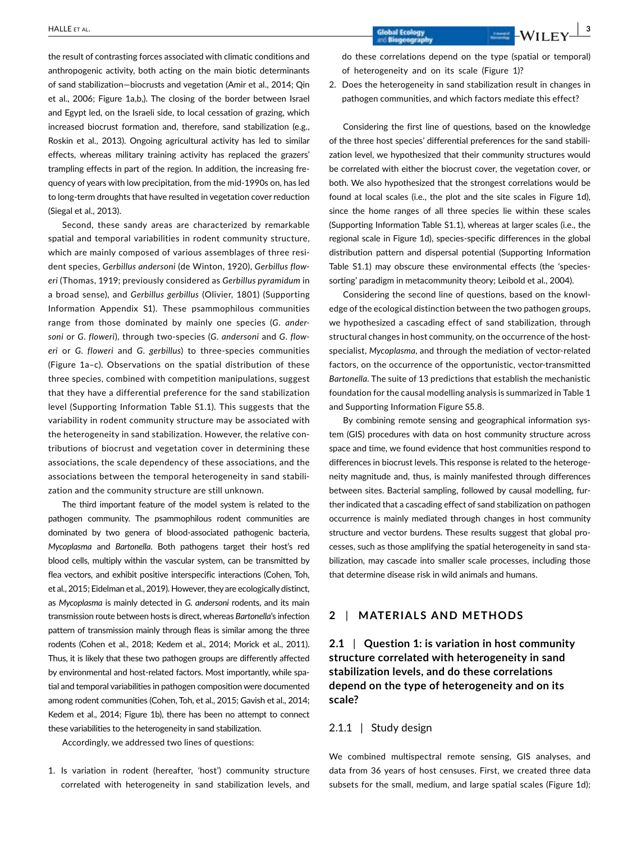the result of contrasting forces associated with climatic conditions and anthropogenic activity, both acting on the main biotic determinants of sand stabilization—biocrusts and vegetation (Amir et al., 2014; Qin et al., 2006; Figure 1a,b,). The closing of the border between Israel and Egypt led, on the Israeli side, to local cessation of grazing, which increased biocrust formation and, therefore, sand stabilization (e.g., Roskin et al., 2013). Ongoing agricultural activity has led to similar effects, whereas military training activity has replaced the grazers' trampling effects in part of the region. In addition, the increasing frequency of years with low precipitation, from the mid-1990s on, has led to long-term droughts that have resulted in vegetation cover reduction (Siegal et al., 2013).

Second, these sandy areas are characterized by remarkable spatial and temporal variabilities in rodent community structure, which are mainly composed of various assemblages of three resident species, *Gerbillus andersoni* (de Winton, 1920), *Gerbillus floweri* (Thomas, 1919; previously considered as *Gerbillus pyramidum* in a broad sense), and *Gerbillus gerbillus* (Olivier, 1801) (Supporting Information Appendix S1). These psammophilous communities range from those dominated by mainly one species (*G*. *andersoni* or *G. floweri*), through two-species (*G*. *andersoni* and *G. floweri* or *G. floweri* and *G. gerbillus*) to three-species communities (Figure 1a–c). Observations on the spatial distribution of these three species, combined with competition manipulations, suggest that they have a differential preference for the sand stabilization level (Supporting Information Table S1.1). This suggests that the variability in rodent community structure may be associated with the heterogeneity in sand stabilization. However, the relative contributions of biocrust and vegetation cover in determining these associations, the scale dependency of these associations, and the associations between the temporal heterogeneity in sand stabilization and the community structure are still unknown.

The third important feature of the model system is related to the pathogen community. The psammophilous rodent communities are dominated by two genera of blood-associated pathogenic bacteria, *Mycoplasma* and *Bartonella*. Both pathogens target their host's red blood cells, multiply within the vascular system, can be transmitted by flea vectors, and exhibit positive interspecific interactions (Cohen, Toh, et al., 2015; Eidelman et al., 2019). However, they are ecologically distinct, as *Mycoplasma* is mainly detected in *G. andersoni* rodents, and its main transmission route between hosts is direct, whereas *Bartonella*'s infection pattern of transmission mainly through fleas is similar among the three rodents (Cohen et al., 2018; Kedem et al., 2014; Morick et al., 2011). Thus, it is likely that these two pathogen groups are differently affected by environmental and host-related factors. Most importantly, while spatial and temporal variabilities in pathogen composition were documented among rodent communities (Cohen, Toh, et al., 2015; Gavish et al., 2014; Kedem et al., 2014; Figure 1b), there has been no attempt to connect these variabilities to the heterogeneity in sand stabilization.

Accordingly, we addressed two lines of questions:

1. Is variation in rodent (hereafter, 'host') community structure correlated with heterogeneity in sand stabilization levels, and

 **|** HALLE et al. **3**

do these correlations depend on the type (spatial or temporal) of heterogeneity and on its scale (Figure 1)?

2. Does the heterogeneity in sand stabilization result in changes in pathogen communities, and which factors mediate this effect?

Considering the first line of questions, based on the knowledge of the three host species' differential preferences for the sand stabilization level, we hypothesized that their community structures would be correlated with either the biocrust cover, the vegetation cover, or both. We also hypothesized that the strongest correlations would be found at local scales (i.e., the plot and the site scales in Figure 1d), since the home ranges of all three species lie within these scales (Supporting Information Table S1.1), whereas at larger scales (i.e., the regional scale in Figure 1d), species-specific differences in the global distribution pattern and dispersal potential (Supporting Information Table S1.1) may obscure these environmental effects (the 'speciessorting' paradigm in metacommunity theory; Leibold et al., 2004).

Considering the second line of questions, based on the knowledge of the ecological distinction between the two pathogen groups, we hypothesized a cascading effect of sand stabilization, through structural changes in host community, on the occurrence of the hostspecialist, *Mycoplasma*, and through the mediation of vector-related factors, on the occurrence of the opportunistic, vector-transmitted *Bartonella*. The suite of 13 predictions that establish the mechanistic foundation for the causal modelling analysis is summarized in Table 1 and Supporting Information Figure S5.8.

By combining remote sensing and geographical information system (GIS) procedures with data on host community structure across space and time, we found evidence that host communities respond to differences in biocrust levels. This response is related to the heterogeneity magnitude and, thus, is mainly manifested through differences between sites. Bacterial sampling, followed by causal modelling, further indicated that a cascading effect of sand stabilization on pathogen occurrence is mainly mediated through changes in host community structure and vector burdens. These results suggest that global processes, such as those amplifying the spatial heterogeneity in sand stabilization, may cascade into smaller scale processes, including those that determine disease risk in wild animals and humans.

# **2** | **MATERIALS AND METHODS**

**2.1** | **Question 1: is variation in host community structure correlated with heterogeneity in sand stabilization levels, and do these correlations depend on the type of heterogeneity and on its scale?**

## 2.1.1 | Study design

We combined multispectral remote sensing, GIS analyses, and data from 36 years of host censuses. First, we created three data subsets for the small, medium, and large spatial scales (Figure 1d);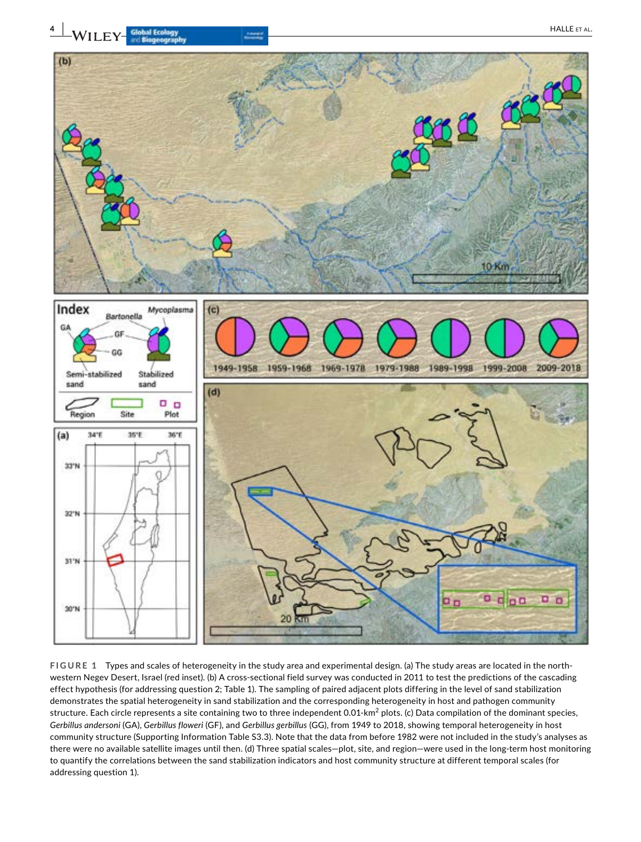

**FIGURE 1** Types and scales of heterogeneity in the study area and experimental design. (a) The study areas are located in the northwestern Negev Desert, Israel (red inset). (b) A cross-sectional field survey was conducted in 2011 to test the predictions of the cascading effect hypothesis (for addressing question 2; Table 1). The sampling of paired adjacent plots differing in the level of sand stabilization demonstrates the spatial heterogeneity in sand stabilization and the corresponding heterogeneity in host and pathogen community structure. Each circle represents a site containing two to three independent 0.01-km<sup>2</sup> plots. (c) Data compilation of the dominant species, *Gerbillus andersoni* (GA), *Gerbillus floweri* (GF), and *Gerbillus gerbillus* (GG), from 1949 to 2018, showing temporal heterogeneity in host community structure (Supporting Information Table S3.3). Note that the data from before 1982 were not included in the study's analyses as there were no available satellite images until then. (d) Three spatial scales—plot, site, and region—were used in the long-term host monitoring to quantify the correlations between the sand stabilization indicators and host community structure at different temporal scales (for addressing question 1).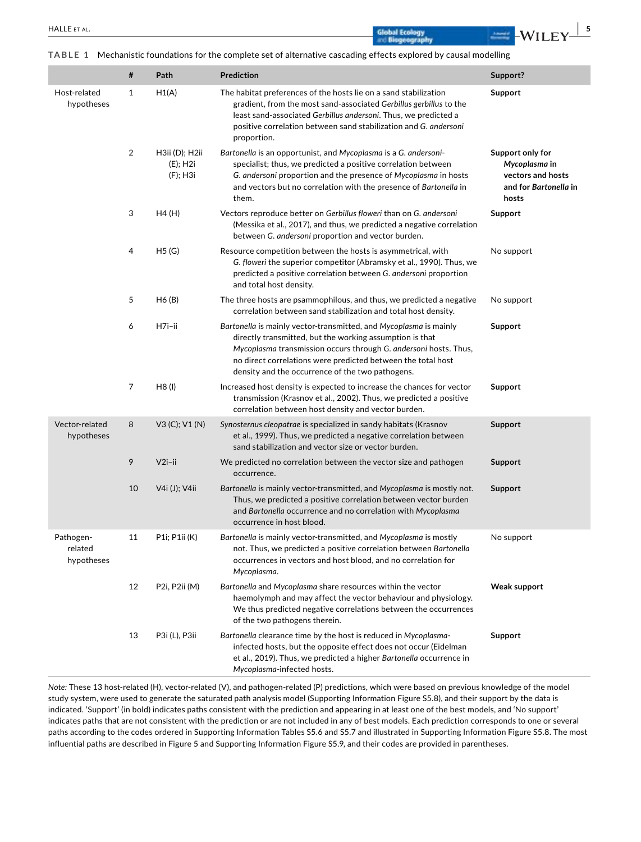**|** HALLE et al. **5**

**TABLE 1** Mechanistic foundations for the complete set of alternative cascading effects explored by causal modelling

|                                    | #              | Path                                   | Prediction                                                                                                                                                                                                                                                                                                            | Support?                                                                                 |
|------------------------------------|----------------|----------------------------------------|-----------------------------------------------------------------------------------------------------------------------------------------------------------------------------------------------------------------------------------------------------------------------------------------------------------------------|------------------------------------------------------------------------------------------|
| Host-related<br>hypotheses         | $\mathbf{1}$   | H1(A)                                  | The habitat preferences of the hosts lie on a sand stabilization<br>gradient, from the most sand-associated Gerbillus gerbillus to the<br>least sand-associated Gerbillus andersoni. Thus, we predicted a<br>positive correlation between sand stabilization and G. andersoni<br>proportion.                          | Support                                                                                  |
|                                    | $\overline{2}$ | H3ii (D); H2ii<br>(E); H2i<br>(F); H3i | Bartonella is an opportunist, and Mycoplasma is a G. andersoni-<br>specialist; thus, we predicted a positive correlation between<br>G. andersoni proportion and the presence of Mycoplasma in hosts<br>and vectors but no correlation with the presence of Bartonella in<br>them.                                     | Support only for<br>Mycoplasma in<br>vectors and hosts<br>and for Bartonella in<br>hosts |
|                                    | 3              | H4 (H)                                 | Vectors reproduce better on Gerbillus floweri than on G. andersoni<br>(Messika et al., 2017), and thus, we predicted a negative correlation<br>between G. andersoni proportion and vector burden.                                                                                                                     | Support                                                                                  |
|                                    | 4              | H5(G)                                  | Resource competition between the hosts is asymmetrical, with<br>G. floweri the superior competitor (Abramsky et al., 1990). Thus, we<br>predicted a positive correlation between G. andersoni proportion<br>and total host density.                                                                                   | No support                                                                               |
|                                    | 5              | H6(B)                                  | The three hosts are psammophilous, and thus, we predicted a negative<br>correlation between sand stabilization and total host density.                                                                                                                                                                                | No support                                                                               |
|                                    | 6              | H7i-ii                                 | Bartonella is mainly vector-transmitted, and Mycoplasma is mainly<br>directly transmitted, but the working assumption is that<br>Mycoplasma transmission occurs through G. andersoni hosts. Thus,<br>no direct correlations were predicted between the total host<br>density and the occurrence of the two pathogens. | Support                                                                                  |
|                                    | $\overline{7}$ | $H8$ (I)                               | Increased host density is expected to increase the chances for vector<br>transmission (Krasnov et al., 2002). Thus, we predicted a positive<br>correlation between host density and vector burden.                                                                                                                    | Support                                                                                  |
| Vector-related<br>hypotheses       | 8              | V3 (C); V1 (N)                         | Synosternus cleopatrae is specialized in sandy habitats (Krasnov<br>et al., 1999). Thus, we predicted a negative correlation between<br>sand stabilization and vector size or vector burden.                                                                                                                          | Support                                                                                  |
|                                    | 9              | $V2i-ii$                               | We predicted no correlation between the vector size and pathogen<br>occurrence.                                                                                                                                                                                                                                       | Support                                                                                  |
|                                    | 10             | V4i (J); V4ii                          | Bartonella is mainly vector-transmitted, and Mycoplasma is mostly not.<br>Thus, we predicted a positive correlation between vector burden<br>and Bartonella occurrence and no correlation with Mycoplasma<br>occurrence in host blood.                                                                                | Support                                                                                  |
| Pathogen-<br>related<br>hypotheses | 11             | P1i; P1ii (K)                          | Bartonella is mainly vector-transmitted, and Mycoplasma is mostly<br>not. Thus, we predicted a positive correlation between Bartonella<br>occurrences in vectors and host blood, and no correlation for<br>Mycoplasma.                                                                                                | No support                                                                               |
|                                    | 12             | P2i, P2ii (M)                          | Bartonella and Mycoplasma share resources within the vector<br>haemolymph and may affect the vector behaviour and physiology.<br>We thus predicted negative correlations between the occurrences<br>of the two pathogens therein.                                                                                     | <b>Weak support</b>                                                                      |
|                                    | 13             | P3i (L), P3ii                          | Bartonella clearance time by the host is reduced in Mycoplasma-<br>infected hosts, but the opposite effect does not occur (Eidelman<br>et al., 2019). Thus, we predicted a higher Bartonella occurrence in<br>Mycoplasma-infected hosts.                                                                              | Support                                                                                  |

*Note:* These 13 host-related (H), vector-related (V), and pathogen-related (P) predictions, which were based on previous knowledge of the model study system, were used to generate the saturated path analysis model (Supporting Information Figure S5.8), and their support by the data is indicated. 'Support' (in bold) indicates paths consistent with the prediction and appearing in at least one of the best models, and 'No support' indicates paths that are not consistent with the prediction or are not included in any of best models. Each prediction corresponds to one or several paths according to the codes ordered in Supporting Information Tables S5.6 and S5.7 and illustrated in Supporting Information Figure S5.8. The most influential paths are described in Figure 5 and Supporting Information Figure S5.9, and their codes are provided in parentheses.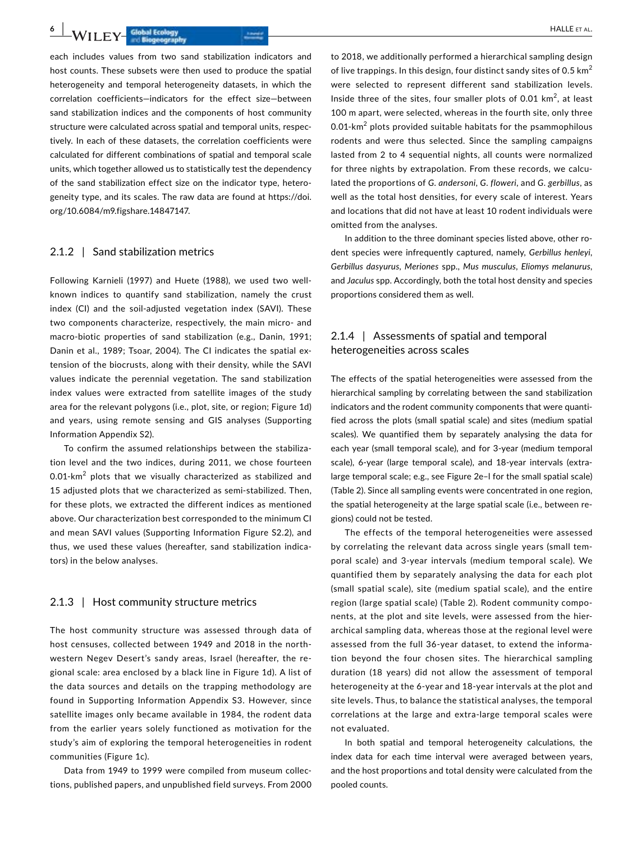**6 al. 1997 Clobal Ecology Cloud Coology Cloud Coology Cloud Coology Cloud Coology Cloud Coology Cloud Coology** 

each includes values from two sand stabilization indicators and host counts. These subsets were then used to produce the spatial heterogeneity and temporal heterogeneity datasets, in which the correlation coefficients—indicators for the effect size—between sand stabilization indices and the components of host community structure were calculated across spatial and temporal units, respectively. In each of these datasets, the correlation coefficients were calculated for different combinations of spatial and temporal scale units, which together allowed us to statistically test the dependency of the sand stabilization effect size on the indicator type, heterogeneity type, and its scales. The raw data are found at [https://doi.](https://doi.org/10.6084/m9.figshare.14847147) [org/10.6084/m9.figshare.14847147.](https://doi.org/10.6084/m9.figshare.14847147)

### 2.1.2 | Sand stabilization metrics

Following Karnieli (1997) and Huete (1988), we used two wellknown indices to quantify sand stabilization, namely the crust index (CI) and the soil-adjusted vegetation index (SAVI). These two components characterize, respectively, the main micro- and macro-biotic properties of sand stabilization (e.g., Danin, 1991; Danin et al., 1989; Tsoar, 2004). The CI indicates the spatial extension of the biocrusts, along with their density, while the SAVI values indicate the perennial vegetation. The sand stabilization index values were extracted from satellite images of the study area for the relevant polygons (i.e., plot, site, or region; Figure 1d) and years, using remote sensing and GIS analyses (Supporting Information Appendix S2).

To confirm the assumed relationships between the stabilization level and the two indices, during 2011, we chose fourteen 0.01-km<sup>2</sup> plots that we visually characterized as stabilized and 15 adjusted plots that we characterized as semi-stabilized. Then, for these plots, we extracted the different indices as mentioned above. Our characterization best corresponded to the minimum CI and mean SAVI values (Supporting Information Figure S2.2), and thus, we used these values (hereafter, sand stabilization indicators) in the below analyses.

## 2.1.3 | Host community structure metrics

The host community structure was assessed through data of host censuses, collected between 1949 and 2018 in the northwestern Negev Desert's sandy areas, Israel (hereafter, the regional scale: area enclosed by a black line in Figure 1d). A list of the data sources and details on the trapping methodology are found in Supporting Information Appendix S3. However, since satellite images only became available in 1984, the rodent data from the earlier years solely functioned as motivation for the study's aim of exploring the temporal heterogeneities in rodent communities (Figure 1c).

Data from 1949 to 1999 were compiled from museum collections, published papers, and unpublished field surveys. From 2000

to 2018, we additionally performed a hierarchical sampling design of live trappings. In this design, four distinct sandy sites of 0.5  $km<sup>2</sup>$ were selected to represent different sand stabilization levels. Inside three of the sites, four smaller plots of 0.01  $km^2$ , at least 100 m apart, were selected, whereas in the fourth site, only three 0.01-km<sup>2</sup> plots provided suitable habitats for the psammophilous rodents and were thus selected. Since the sampling campaigns lasted from 2 to 4 sequential nights, all counts were normalized for three nights by extrapolation. From these records, we calculated the proportions of *G. andersoni*, *G. floweri*, and *G. gerbillus*, as well as the total host densities, for every scale of interest. Years and locations that did not have at least 10 rodent individuals were omitted from the analyses.

In addition to the three dominant species listed above, other rodent species were infrequently captured, namely, *Gerbillus henleyi*, *Gerbillus dasyurus*, *Meriones* spp., *Mus musculus*, *Eliomys melanurus*, and *Jaculus* spp. Accordingly, both the total host density and species proportions considered them as well.

# 2.1.4 | Assessments of spatial and temporal heterogeneities across scales

The effects of the spatial heterogeneities were assessed from the hierarchical sampling by correlating between the sand stabilization indicators and the rodent community components that were quantified across the plots (small spatial scale) and sites (medium spatial scales). We quantified them by separately analysing the data for each year (small temporal scale), and for 3-year (medium temporal scale), 6-year (large temporal scale), and 18-year intervals (extralarge temporal scale; e.g., see Figure 2e–l for the small spatial scale) (Table 2). Since all sampling events were concentrated in one region, the spatial heterogeneity at the large spatial scale (i.e., between regions) could not be tested.

The effects of the temporal heterogeneities were assessed by correlating the relevant data across single years (small temporal scale) and 3-year intervals (medium temporal scale). We quantified them by separately analysing the data for each plot (small spatial scale), site (medium spatial scale), and the entire region (large spatial scale) (Table 2). Rodent community components, at the plot and site levels, were assessed from the hierarchical sampling data, whereas those at the regional level were assessed from the full 36-year dataset, to extend the information beyond the four chosen sites. The hierarchical sampling duration (18 years) did not allow the assessment of temporal heterogeneity at the 6-year and 18-year intervals at the plot and site levels. Thus, to balance the statistical analyses, the temporal correlations at the large and extra-large temporal scales were not evaluated.

In both spatial and temporal heterogeneity calculations, the index data for each time interval were averaged between years, and the host proportions and total density were calculated from the pooled counts.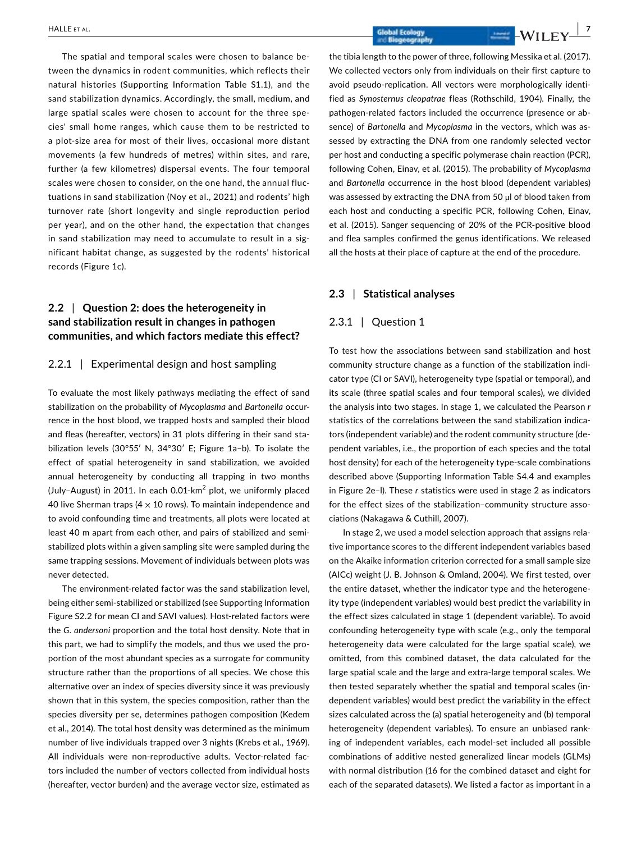The spatial and temporal scales were chosen to balance between the dynamics in rodent communities, which reflects their natural histories (Supporting Information Table S1.1), and the sand stabilization dynamics. Accordingly, the small, medium, and large spatial scales were chosen to account for the three species' small home ranges, which cause them to be restricted to a plot-size area for most of their lives, occasional more distant movements (a few hundreds of metres) within sites, and rare, further (a few kilometres) dispersal events. The four temporal scales were chosen to consider, on the one hand, the annual fluctuations in sand stabilization (Noy et al., 2021) and rodents' high turnover rate (short longevity and single reproduction period per year), and on the other hand, the expectation that changes in sand stabilization may need to accumulate to result in a significant habitat change, as suggested by the rodents' historical records (Figure 1c).

# **2.2** | **Question 2: does the heterogeneity in sand stabilization result in changes in pathogen communities, and which factors mediate this effect?**

#### 2.2.1 | Experimental design and host sampling

To evaluate the most likely pathways mediating the effect of sand stabilization on the probability of *Mycoplasma* and *Bartonella* occurrence in the host blood, we trapped hosts and sampled their blood and fleas (hereafter, vectors) in 31 plots differing in their sand stabilization levels (30°55′ N, 34°30′ E; Figure 1a–b). To isolate the effect of spatial heterogeneity in sand stabilization, we avoided annual heterogeneity by conducting all trapping in two months (July-August) in 2011. In each 0.01-km<sup>2</sup> plot, we uniformly placed 40 live Sherman traps (4  $\times$  10 rows). To maintain independence and to avoid confounding time and treatments, all plots were located at least 40 m apart from each other, and pairs of stabilized and semistabilized plots within a given sampling site were sampled during the same trapping sessions. Movement of individuals between plots was never detected.

The environment-related factor was the sand stabilization level, being either semi-stabilized or stabilized (see Supporting Information Figure S2.2 for mean CI and SAVI values). Host-related factors were the *G. andersoni* proportion and the total host density. Note that in this part, we had to simplify the models, and thus we used the proportion of the most abundant species as a surrogate for community structure rather than the proportions of all species. We chose this alternative over an index of species diversity since it was previously shown that in this system, the species composition, rather than the species diversity per se, determines pathogen composition (Kedem et al., 2014). The total host density was determined as the minimum number of live individuals trapped over 3 nights (Krebs et al., 1969). All individuals were non-reproductive adults. Vector-related factors included the number of vectors collected from individual hosts (hereafter, vector burden) and the average vector size, estimated as

the tibia length to the power of three, following Messika et al. (2017). We collected vectors only from individuals on their first capture to avoid pseudo-replication. All vectors were morphologically identified as *Synosternus cleopatrae* fleas (Rothschild, 1904). Finally, the pathogen-related factors included the occurrence (presence or absence) of *Bartonella* and *Mycoplasma* in the vectors, which was assessed by extracting the DNA from one randomly selected vector per host and conducting a specific polymerase chain reaction (PCR), following Cohen, Einav, et al. (2015). The probability of *Mycoplasma* and *Bartonella* occurrence in the host blood (dependent variables) was assessed by extracting the DNA from 50 μl of blood taken from each host and conducting a specific PCR, following Cohen, Einav, et al. (2015). Sanger sequencing of 20% of the PCR-positive blood and flea samples confirmed the genus identifications. We released all the hosts at their place of capture at the end of the procedure.

### **2.3** | **Statistical analyses**

## 2.3.1 | Question 1

To test how the associations between sand stabilization and host community structure change as a function of the stabilization indicator type (CI or SAVI), heterogeneity type (spatial or temporal), and its scale (three spatial scales and four temporal scales), we divided the analysis into two stages. In stage 1, we calculated the Pearson *r* statistics of the correlations between the sand stabilization indicators (independent variable) and the rodent community structure (dependent variables, i.e., the proportion of each species and the total host density) for each of the heterogeneity type-scale combinations described above (Supporting Information Table S4.4 and examples in Figure 2e–l). These *r* statistics were used in stage 2 as indicators for the effect sizes of the stabilization–community structure associations (Nakagawa & Cuthill, 2007).

In stage 2, we used a model selection approach that assigns relative importance scores to the different independent variables based on the Akaike information criterion corrected for a small sample size (AICc) weight (J. B. Johnson & Omland, 2004). We first tested, over the entire dataset, whether the indicator type and the heterogeneity type (independent variables) would best predict the variability in the effect sizes calculated in stage 1 (dependent variable). To avoid confounding heterogeneity type with scale (e.g., only the temporal heterogeneity data were calculated for the large spatial scale), we omitted, from this combined dataset, the data calculated for the large spatial scale and the large and extra-large temporal scales. We then tested separately whether the spatial and temporal scales (independent variables) would best predict the variability in the effect sizes calculated across the (a) spatial heterogeneity and (b) temporal heterogeneity (dependent variables). To ensure an unbiased ranking of independent variables, each model-set included all possible combinations of additive nested generalized linear models (GLMs) with normal distribution (16 for the combined dataset and eight for each of the separated datasets). We listed a factor as important in a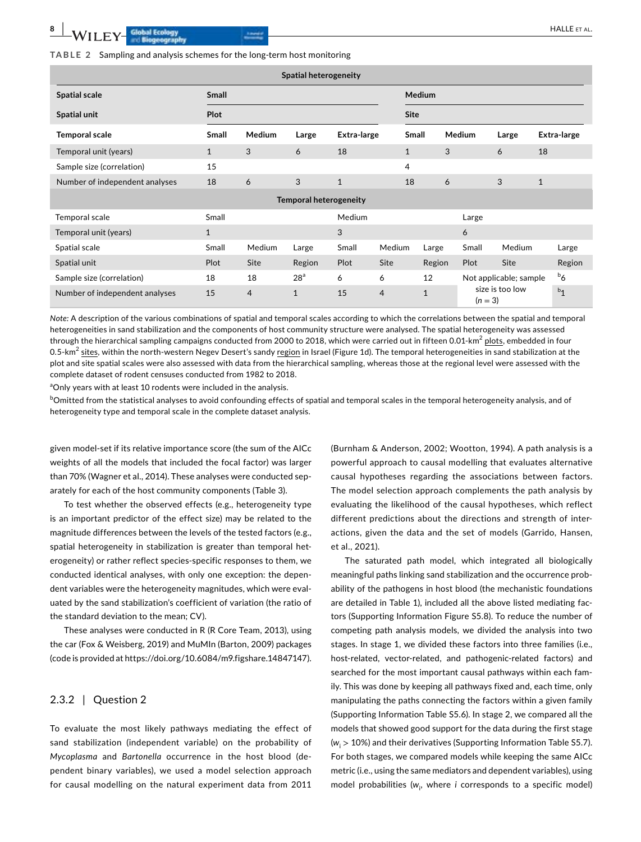Number of independent analyses  $15$  4 1  $15$  4 1

| <b>Spatial heterogeneity</b>   |              |               |                               |              |                |                 |        |                        |              |                |
|--------------------------------|--------------|---------------|-------------------------------|--------------|----------------|-----------------|--------|------------------------|--------------|----------------|
| <b>Spatial scale</b>           | <b>Small</b> |               |                               |              | Medium         |                 |        |                        |              |                |
| Plot<br><b>Spatial unit</b>    |              |               |                               |              | Site           |                 |        |                        |              |                |
| Temporal scale                 | <b>Small</b> | <b>Medium</b> | Large                         | Extra-large  |                | Small           | Medium | Large                  |              | Extra-large    |
| Temporal unit (years)          | $\mathbf{1}$ | 3             | 6                             | 18           | $\mathbf{1}$   |                 | 3      | 6                      | 18           |                |
| Sample size (correlation)      | 15           |               |                               |              | 4              |                 |        |                        |              |                |
| Number of independent analyses | 18           | 6             | 3                             | $\mathbf{1}$ |                | 18<br>6         |        | 3                      | $\mathbf{1}$ |                |
|                                |              |               | <b>Temporal heterogeneity</b> |              |                |                 |        |                        |              |                |
| Temporal scale                 | Small        |               |                               | Medium       |                |                 | Large  |                        |              |                |
| Temporal unit (years)          | $\mathbf{1}$ |               |                               | 3            |                |                 | 6      |                        |              |                |
| Spatial scale                  | Small        | Medium        | Large                         | Small        | Medium         | Large           | Small  | Medium                 |              | Large          |
| Spatial unit                   | Plot         | Site          | Region                        | Plot         | Site           | Region          | Plot   | Site                   |              | Region         |
| Sample size (correlation)      | 18           | 18            | 28 <sup>a</sup>               | 6            | 6              | 12              |        | Not applicable; sample |              | $^{b}6$        |
| Number of independent analyses | 15           | 4             |                               | 15           | $\overline{a}$ | size is too low |        |                        |              | b <sub>1</sub> |

*Note:* A description of the various combinations of spatial and temporal scales according to which the correlations between the spatial and temporal heterogeneities in sand stabilization and the components of host community structure were analysed. The spatial heterogeneity was assessed through the hierarchical sampling campaigns conducted from 2000 to 2018, which were carried out in fifteen 0.01-km<sup>2</sup> plots, embedded in four 0.5-km<sup>2</sup> sites, within the north-western Negev Desert's sandy region in Israel (Figure 1d). The temporal heterogeneities in sand stabilization at the plot and site spatial scales were also assessed with data from the hierarchical sampling, whereas those at the regional level were assessed with the complete dataset of rodent censuses conducted from 1982 to 2018.

<sup>a</sup>Only years with at least 10 rodents were included in the analysis.

 $^{\rm b}$ Omitted from the statistical analyses to avoid confounding effects of spatial and temporal scales in the temporal heterogeneity analysis, and of heterogeneity type and temporal scale in the complete dataset analysis.

given model-set if its relative importance score (the sum of the AICc weights of all the models that included the focal factor) was larger than 70% (Wagner et al., 2014). These analyses were conducted separately for each of the host community components (Table 3).

To test whether the observed effects (e.g., heterogeneity type is an important predictor of the effect size) may be related to the magnitude differences between the levels of the tested factors (e.g., spatial heterogeneity in stabilization is greater than temporal heterogeneity) or rather reflect species-specific responses to them, we conducted identical analyses, with only one exception: the dependent variables were the heterogeneity magnitudes, which were evaluated by the sand stabilization's coefficient of variation (the ratio of the standard deviation to the mean; CV).

These analyses were conducted in R (R Core Team, 2013), using the car (Fox & Weisberg, 2019) and MuMIn (Barton, 2009) packages (code is provided at<https://doi.org/10.6084/m9.figshare.14847147>).

## 2.3.2 | Question 2

To evaluate the most likely pathways mediating the effect of sand stabilization (independent variable) on the probability of *Mycoplasma* and *Bartonella* occurrence in the host blood (dependent binary variables), we used a model selection approach for causal modelling on the natural experiment data from 2011

(Burnham & Anderson, 2002; Wootton, 1994). A path analysis is a powerful approach to causal modelling that evaluates alternative causal hypotheses regarding the associations between factors. The model selection approach complements the path analysis by evaluating the likelihood of the causal hypotheses, which reflect different predictions about the directions and strength of interactions, given the data and the set of models (Garrido, Hansen, et al., 2021).

 $(n = 3)$ 

The saturated path model, which integrated all biologically meaningful paths linking sand stabilization and the occurrence probability of the pathogens in host blood (the mechanistic foundations are detailed in Table 1), included all the above listed mediating factors (Supporting Information Figure S5.8). To reduce the number of competing path analysis models, we divided the analysis into two stages. In stage 1, we divided these factors into three families (i.e., host-related, vector-related, and pathogenic-related factors) and searched for the most important causal pathways within each family. This was done by keeping all pathways fixed and, each time, only manipulating the paths connecting the factors within a given family (Supporting Information Table S5.6). In stage 2, we compared all the models that showed good support for the data during the first stage  $(w_i > 10\%)$  and their derivatives (Supporting Information Table S5.7). For both stages, we compared models while keeping the same AICc metric (i.e., using the same mediators and dependent variables), using model probabilities (*w*<sup>i</sup> , where *i* corresponds to a specific model)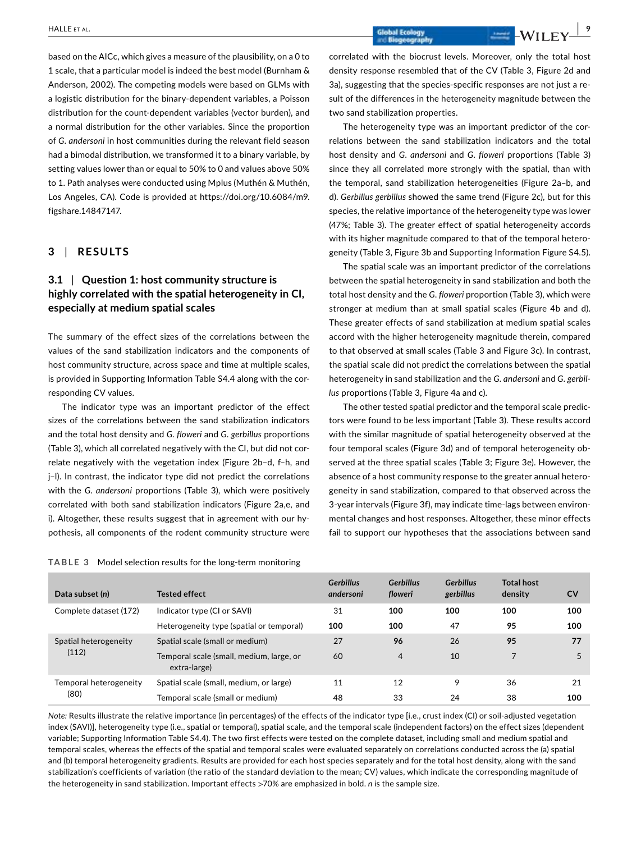based on the AICc, which gives a measure of the plausibility, on a 0 to 1 scale, that a particular model is indeed the best model (Burnham & Anderson, 2002). The competing models were based on GLMs with a logistic distribution for the binary-dependent variables, a Poisson distribution for the count-dependent variables (vector burden), and a normal distribution for the other variables. Since the proportion of *G. andersoni* in host communities during the relevant field season had a bimodal distribution, we transformed it to a binary variable, by setting values lower than or equal to 50% to 0 and values above 50% to 1. Path analyses were conducted using Mplus (Muthén & Muthén, Los Angeles, CA). Code is provided at [https://doi.org/10.6084/m9.](https://doi.org/10.6084/m9.figshare.14847147) [figshare.14847147](https://doi.org/10.6084/m9.figshare.14847147).

## **3** | **RESULTS**

# **3.1** | **Question 1: host community structure is highly correlated with the spatial heterogeneity in CI, especially at medium spatial scales**

The summary of the effect sizes of the correlations between the values of the sand stabilization indicators and the components of host community structure, across space and time at multiple scales, is provided in Supporting Information Table S4.4 along with the corresponding CV values.

The indicator type was an important predictor of the effect sizes of the correlations between the sand stabilization indicators and the total host density and *G. floweri* and *G. gerbillus* proportions (Table 3), which all correlated negatively with the CI, but did not correlate negatively with the vegetation index (Figure 2b–d, f–h, and j–l). In contrast, the indicator type did not predict the correlations with the *G. andersoni* proportions (Table 3), which were positively correlated with both sand stabilization indicators (Figure 2a,e, and i). Altogether, these results suggest that in agreement with our hypothesis, all components of the rodent community structure were

**TABLE 3** Model selection results for the long-term monitoring

correlated with the biocrust levels. Moreover, only the total host density response resembled that of the CV (Table 3, Figure 2d and 3a), suggesting that the species-specific responses are not just a result of the differences in the heterogeneity magnitude between the two sand stabilization properties.

The heterogeneity type was an important predictor of the correlations between the sand stabilization indicators and the total host density and *G. andersoni* and *G. floweri* proportions (Table 3) since they all correlated more strongly with the spatial, than with the temporal, sand stabilization heterogeneities (Figure 2a–b, and d). *Gerbillus gerbillus* showed the same trend (Figure 2c), but for this species, the relative importance of the heterogeneity type was lower (47%; Table 3). The greater effect of spatial heterogeneity accords with its higher magnitude compared to that of the temporal heterogeneity (Table 3, Figure 3b and Supporting Information Figure S4.5).

The spatial scale was an important predictor of the correlations between the spatial heterogeneity in sand stabilization and both the total host density and the *G. floweri* proportion (Table 3), which were stronger at medium than at small spatial scales (Figure 4b and d). These greater effects of sand stabilization at medium spatial scales accord with the higher heterogeneity magnitude therein, compared to that observed at small scales (Table 3 and Figure 3c). In contrast, the spatial scale did not predict the correlations between the spatial heterogeneity in sand stabilization and the *G. andersoni* and *G. gerbillus* proportions (Table 3, Figure 4a and c).

The other tested spatial predictor and the temporal scale predictors were found to be less important (Table 3). These results accord with the similar magnitude of spatial heterogeneity observed at the four temporal scales (Figure 3d) and of temporal heterogeneity observed at the three spatial scales (Table 3; Figure 3e). However, the absence of a host community response to the greater annual heterogeneity in sand stabilization, compared to that observed across the 3-year intervals (Figure 3f), may indicate time-lags between environmental changes and host responses. Altogether, these minor effects fail to support our hypotheses that the associations between sand

| Data subset (n)                | <b>Tested effect</b>                                     | <b>Gerbillus</b><br>andersoni | <b>Gerbillus</b><br>floweri | <b>Gerbillus</b><br>gerbillus | <b>Total host</b><br>density | CV  |
|--------------------------------|----------------------------------------------------------|-------------------------------|-----------------------------|-------------------------------|------------------------------|-----|
| Complete dataset (172)         | Indicator type (CI or SAVI)                              | 31                            | 100                         | 100                           | 100                          | 100 |
|                                | Heterogeneity type (spatial or temporal)                 | 100                           | 100                         | 47                            | 95                           | 100 |
| Spatial heterogeneity<br>(112) | Spatial scale (small or medium)                          | 27                            | 96                          | 26                            | 95                           | 77  |
|                                | Temporal scale (small, medium, large, or<br>extra-large) | 60                            | $\overline{4}$              | 10                            |                              | 5   |
| Temporal heterogeneity<br>(80) | Spatial scale (small, medium, or large)                  | 11                            | 12                          | 9                             | 36                           | 21  |
|                                | Temporal scale (small or medium)                         | 48                            | 33                          | 24                            | 38                           | 100 |

*Note:* Results illustrate the relative importance (in percentages) of the effects of the indicator type [i.e., crust index (CI) or soil-adjusted vegetation index (SAVI)], heterogeneity type (i.e., spatial or temporal), spatial scale, and the temporal scale (independent factors) on the effect sizes (dependent variable; Supporting Information Table S4.4). The two first effects were tested on the complete dataset, including small and medium spatial and temporal scales, whereas the effects of the spatial and temporal scales were evaluated separately on correlations conducted across the (a) spatial and (b) temporal heterogeneity gradients. Results are provided for each host species separately and for the total host density, along with the sand stabilization's coefficients of variation (the ratio of the standard deviation to the mean; CV) values, which indicate the corresponding magnitude of the heterogeneity in sand stabilization. Important effects >70% are emphasized in bold. *n* is the sample size.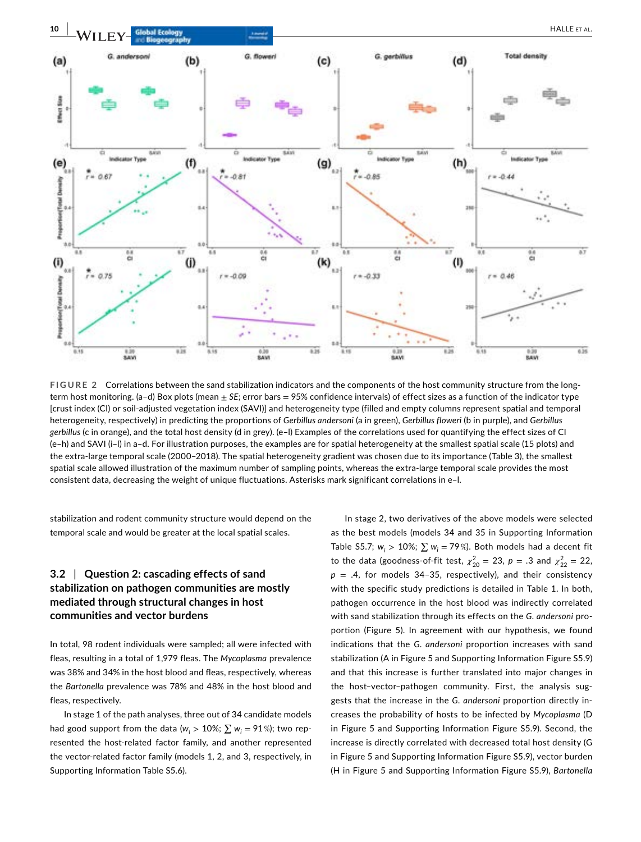

**FIGURE 2** Correlations between the sand stabilization indicators and the components of the host community structure from the longterm host monitoring. (a–d) Box plots (mean ± *SE*; error bars = 95% confidence intervals) of effect sizes as a function of the indicator type [crust index (CI) or soil-adjusted vegetation index (SAVI)] and heterogeneity type (filled and empty columns represent spatial and temporal heterogeneity, respectively) in predicting the proportions of *Gerbillus andersoni* (a in green), *Gerbillus floweri* (b in purple), and *Gerbillus gerbillus* (c in orange), and the total host density (d in grey). (e–l) Examples of the correlations used for quantifying the effect sizes of CI (e–h) and SAVI (i–l) in a–d. For illustration purposes, the examples are for spatial heterogeneity at the smallest spatial scale (15 plots) and the extra-large temporal scale (2000–2018). The spatial heterogeneity gradient was chosen due to its importance (Table 3), the smallest spatial scale allowed illustration of the maximum number of sampling points, whereas the extra-large temporal scale provides the most consistent data, decreasing the weight of unique fluctuations. Asterisks mark significant correlations in e–l.

stabilization and rodent community structure would depend on the temporal scale and would be greater at the local spatial scales.

# **3.2** | **Question 2: cascading effects of sand stabilization on pathogen communities are mostly mediated through structural changes in host communities and vector burdens**

In total, 98 rodent individuals were sampled; all were infected with fleas, resulting in a total of 1,979 fleas. The *Mycoplasma* prevalence was 38% and 34% in the host blood and fleas, respectively, whereas the *Bartonella* prevalence was 78% and 48% in the host blood and fleas, respectively.

In stage 1 of the path analyses, three out of 34 candidate models had good support from the data ( $w_i > 10\%$ ;  $\sum w_i = 91\%$ ); two represented the host-related factor family, and another represented the vector-related factor family (models 1, 2, and 3, respectively, in Supporting Information Table S5.6).

In stage 2, two derivatives of the above models were selected as the best models (models 34 and 35 in Supporting Information Table S5.7;  $w_i > 10\%; \sum w_i = 79\%$ . Both models had a decent fit to the data (goodness-of-fit test,  $\chi^2_{20} = 23$ ,  $p = .3$  and  $\chi^2_{22} = 22$ ,  $p = .4$ , for models 34-35, respectively), and their consistency with the specific study predictions is detailed in Table 1. In both, pathogen occurrence in the host blood was indirectly correlated with sand stabilization through its effects on the *G. andersoni* proportion (Figure 5). In agreement with our hypothesis, we found indications that the *G. andersoni* proportion increases with sand stabilization (A in Figure 5 and Supporting Information Figure S5.9) and that this increase is further translated into major changes in the host–vector–pathogen community. First, the analysis suggests that the increase in the *G. andersoni* proportion directly increases the probability of hosts to be infected by *Mycoplasma* (D in Figure 5 and Supporting Information Figure S5.9). Second, the increase is directly correlated with decreased total host density (G in Figure 5 and Supporting Information Figure S5.9), vector burden (H in Figure 5 and Supporting Information Figure S5.9), *Bartonella*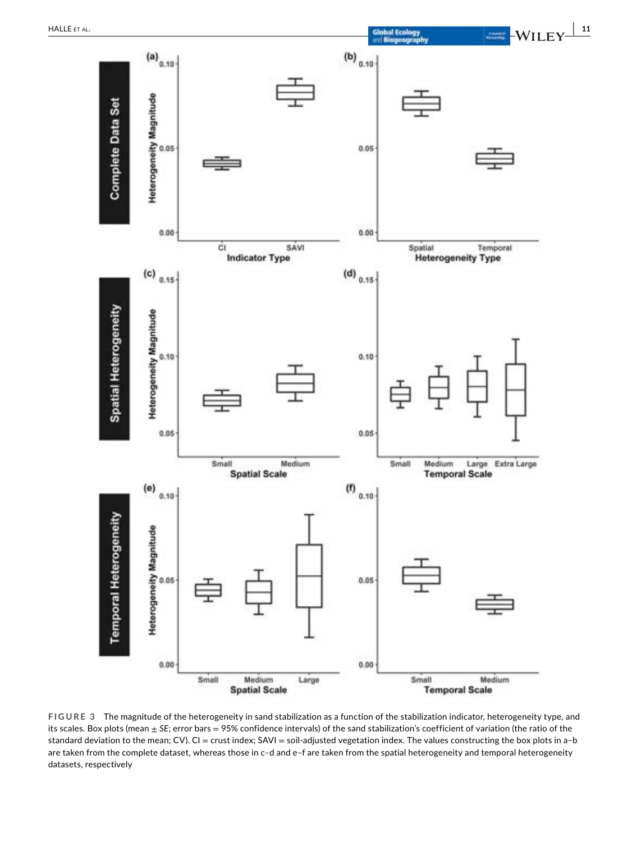

**FIGURE 3** The magnitude of the heterogeneity in sand stabilization as a function of the stabilization indicator, heterogeneity type, and its scales. Box plots (mean ± *SE*; error bars = 95% confidence intervals) of the sand stabilization's coefficient of variation (the ratio of the standard deviation to the mean; CV). CI = crust index; SAVI = soil-adjusted vegetation index. The values constructing the box plots in a-b are taken from the complete dataset, whereas those in c–d and e–f are taken from the spatial heterogeneity and temporal heterogeneity datasets, respectively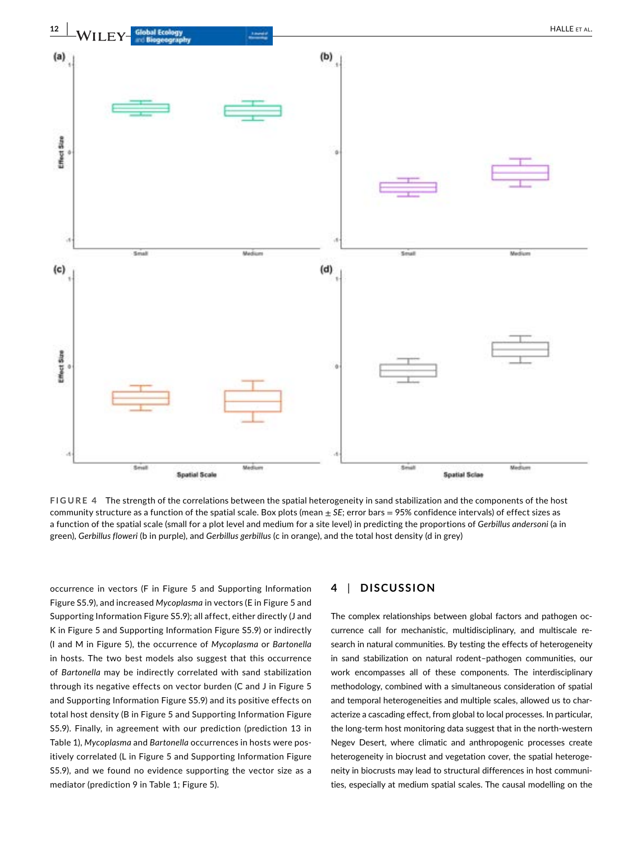

**FIGURE 4** The strength of the correlations between the spatial heterogeneity in sand stabilization and the components of the host community structure as a function of the spatial scale. Box plots (mean ± *SE*; error bars = 95% confidence intervals) of effect sizes as a function of the spatial scale (small for a plot level and medium for a site level) in predicting the proportions of *Gerbillus andersoni* (a in green), *Gerbillus floweri* (b in purple), and *Gerbillus gerbillus* (c in orange), and the total host density (d in grey)

occurrence in vectors (F in Figure 5 and Supporting Information Figure S5.9), and increased *Mycoplasma* in vectors (E in Figure 5 and Supporting Information Figure S5.9); all affect, either directly (J and K in Figure 5 and Supporting Information Figure S5.9) or indirectly (I and M in Figure 5), the occurrence of *Mycoplasma* or *Bartonella* in hosts. The two best models also suggest that this occurrence of *Bartonella* may be indirectly correlated with sand stabilization through its negative effects on vector burden (C and J in Figure 5 and Supporting Information Figure S5.9) and its positive effects on total host density (B in Figure 5 and Supporting Information Figure S5.9). Finally, in agreement with our prediction (prediction 13 in Table 1), *Mycoplasma* and *Bartonella* occurrences in hosts were positively correlated (L in Figure 5 and Supporting Information Figure S5.9), and we found no evidence supporting the vector size as a mediator (prediction 9 in Table 1; Figure 5).

# **4** | **DISCUSSION**

The complex relationships between global factors and pathogen occurrence call for mechanistic, multidisciplinary, and multiscale research in natural communities. By testing the effects of heterogeneity in sand stabilization on natural rodent–pathogen communities, our work encompasses all of these components. The interdisciplinary methodology, combined with a simultaneous consideration of spatial and temporal heterogeneities and multiple scales, allowed us to characterize a cascading effect, from global to local processes. In particular, the long-term host monitoring data suggest that in the north-western Negev Desert, where climatic and anthropogenic processes create heterogeneity in biocrust and vegetation cover, the spatial heterogeneity in biocrusts may lead to structural differences in host communities, especially at medium spatial scales. The causal modelling on the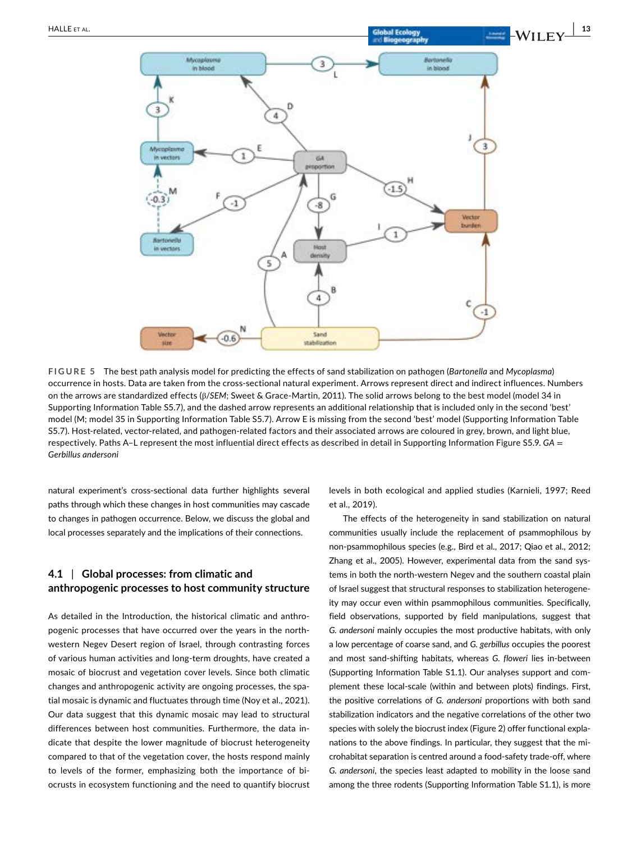

**FIGURE 5** The best path analysis model for predicting the effects of sand stabilization on pathogen (*Bartonella* and *Mycoplasma*) occurrence in hosts. Data are taken from the cross-sectional natural experiment. Arrows represent direct and indirect influences. Numbers on the arrows are standardized effects (β/*SEM*; Sweet & Grace-Martin, 2011). The solid arrows belong to the best model (model 34 in Supporting Information Table S5.7), and the dashed arrow represents an additional relationship that is included only in the second 'best' model (M; model 35 in Supporting Information Table S5.7). Arrow E is missing from the second 'best' model (Supporting Information Table S5.7). Host-related, vector-related, and pathogen-related factors and their associated arrows are coloured in grey, brown, and light blue, respectively. Paths A–L represent the most influential direct effects as described in detail in Supporting Information Figure S5.9. *GA* = *Gerbillus andersoni*

natural experiment's cross-sectional data further highlights several paths through which these changes in host communities may cascade to changes in pathogen occurrence. Below, we discuss the global and local processes separately and the implications of their connections.

# **4.1** | **Global processes: from climatic and anthropogenic processes to host community structure**

As detailed in the Introduction, the historical climatic and anthropogenic processes that have occurred over the years in the northwestern Negev Desert region of Israel, through contrasting forces of various human activities and long-term droughts, have created a mosaic of biocrust and vegetation cover levels. Since both climatic changes and anthropogenic activity are ongoing processes, the spatial mosaic is dynamic and fluctuates through time (Noy et al., 2021). Our data suggest that this dynamic mosaic may lead to structural differences between host communities. Furthermore, the data indicate that despite the lower magnitude of biocrust heterogeneity compared to that of the vegetation cover, the hosts respond mainly to levels of the former, emphasizing both the importance of biocrusts in ecosystem functioning and the need to quantify biocrust

levels in both ecological and applied studies (Karnieli, 1997; Reed et al., 2019).

The effects of the heterogeneity in sand stabilization on natural communities usually include the replacement of psammophilous by non-psammophilous species (e.g., Bird et al., 2017; Qiao et al., 2012; Zhang et al., 2005). However, experimental data from the sand systems in both the north-western Negev and the southern coastal plain of Israel suggest that structural responses to stabilization heterogeneity may occur even within psammophilous communities. Specifically, field observations, supported by field manipulations, suggest that *G. andersoni* mainly occupies the most productive habitats, with only a low percentage of coarse sand, and *G. gerbillus* occupies the poorest and most sand-shifting habitats, whereas *G. floweri* lies in-between (Supporting Information Table S1.1). Our analyses support and complement these local-scale (within and between plots) findings. First, the positive correlations of *G. andersoni* proportions with both sand stabilization indicators and the negative correlations of the other two species with solely the biocrust index (Figure 2) offer functional explanations to the above findings. In particular, they suggest that the microhabitat separation is centred around a food-safety trade-off, where *G. andersoni*, the species least adapted to mobility in the loose sand among the three rodents (Supporting Information Table S1.1), is more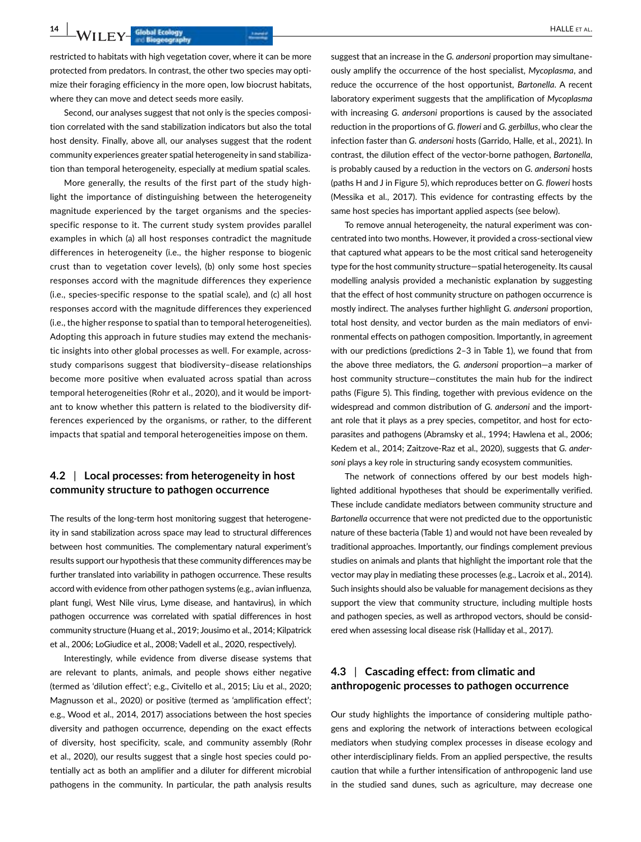**14 |**  HALLE et al.

restricted to habitats with high vegetation cover, where it can be more protected from predators. In contrast, the other two species may optimize their foraging efficiency in the more open, low biocrust habitats, where they can move and detect seeds more easily.

Second, our analyses suggest that not only is the species composition correlated with the sand stabilization indicators but also the total host density. Finally, above all, our analyses suggest that the rodent community experiences greater spatial heterogeneity in sand stabilization than temporal heterogeneity, especially at medium spatial scales.

More generally, the results of the first part of the study highlight the importance of distinguishing between the heterogeneity magnitude experienced by the target organisms and the speciesspecific response to it. The current study system provides parallel examples in which (a) all host responses contradict the magnitude differences in heterogeneity (i.e., the higher response to biogenic crust than to vegetation cover levels), (b) only some host species responses accord with the magnitude differences they experience (i.e., species-specific response to the spatial scale), and (c) all host responses accord with the magnitude differences they experienced (i.e., the higher response to spatial than to temporal heterogeneities). Adopting this approach in future studies may extend the mechanistic insights into other global processes as well. For example, acrossstudy comparisons suggest that biodiversity–disease relationships become more positive when evaluated across spatial than across temporal heterogeneities (Rohr et al., 2020), and it would be important to know whether this pattern is related to the biodiversity differences experienced by the organisms, or rather, to the different impacts that spatial and temporal heterogeneities impose on them.

# **4.2** | **Local processes: from heterogeneity in host community structure to pathogen occurrence**

The results of the long-term host monitoring suggest that heterogeneity in sand stabilization across space may lead to structural differences between host communities. The complementary natural experiment's results support our hypothesis that these community differences may be further translated into variability in pathogen occurrence. These results accord with evidence from other pathogen systems (e.g., avian influenza, plant fungi, West Nile virus, Lyme disease, and hantavirus), in which pathogen occurrence was correlated with spatial differences in host community structure (Huang et al., 2019; Jousimo et al., 2014; Kilpatrick et al., 2006; LoGiudice et al., 2008; Vadell et al., 2020, respectively).

Interestingly, while evidence from diverse disease systems that are relevant to plants, animals, and people shows either negative (termed as 'dilution effect'; e.g., Civitello et al., 2015; Liu et al., 2020; Magnusson et al., 2020) or positive (termed as 'amplification effect'; e.g., Wood et al., 2014, 2017) associations between the host species diversity and pathogen occurrence, depending on the exact effects of diversity, host specificity, scale, and community assembly (Rohr et al., 2020), our results suggest that a single host species could potentially act as both an amplifier and a diluter for different microbial pathogens in the community. In particular, the path analysis results

suggest that an increase in the *G. andersoni* proportion may simultaneously amplify the occurrence of the host specialist, *Mycoplasma*, and reduce the occurrence of the host opportunist, *Bartonella*. A recent laboratory experiment suggests that the amplification of *Mycoplasma* with increasing *G. andersoni* proportions is caused by the associated reduction in the proportions of *G. floweri* and *G. gerbillus*, who clear the infection faster than *G. andersoni* hosts (Garrido, Halle, et al., 2021). In contrast, the dilution effect of the vector-borne pathogen, *Bartonella*, is probably caused by a reduction in the vectors on *G. andersoni* hosts (paths H and J in Figure 5), which reproduces better on *G. floweri* hosts (Messika et al., 2017). This evidence for contrasting effects by the same host species has important applied aspects (see below).

To remove annual heterogeneity, the natural experiment was concentrated into two months. However, it provided a cross-sectional view that captured what appears to be the most critical sand heterogeneity type for the host community structure—spatial heterogeneity. Its causal modelling analysis provided a mechanistic explanation by suggesting that the effect of host community structure on pathogen occurrence is mostly indirect. The analyses further highlight *G. andersoni* proportion, total host density, and vector burden as the main mediators of environmental effects on pathogen composition. Importantly, in agreement with our predictions (predictions 2–3 in Table 1), we found that from the above three mediators, the *G. andersoni* proportion—a marker of host community structure—constitutes the main hub for the indirect paths (Figure 5). This finding, together with previous evidence on the widespread and common distribution of *G. andersoni* and the important role that it plays as a prey species, competitor, and host for ectoparasites and pathogens (Abramsky et al., 1994; Hawlena et al., 2006; Kedem et al., 2014; Zaitzove-Raz et al., 2020), suggests that *G. andersoni* plays a key role in structuring sandy ecosystem communities.

The network of connections offered by our best models highlighted additional hypotheses that should be experimentally verified. These include candidate mediators between community structure and *Bartonella* occurrence that were not predicted due to the opportunistic nature of these bacteria (Table 1) and would not have been revealed by traditional approaches. Importantly, our findings complement previous studies on animals and plants that highlight the important role that the vector may play in mediating these processes (e.g., Lacroix et al., 2014). Such insights should also be valuable for management decisions as they support the view that community structure, including multiple hosts and pathogen species, as well as arthropod vectors, should be considered when assessing local disease risk (Halliday et al., 2017).

# **4.3** | **Cascading effect: from climatic and anthropogenic processes to pathogen occurrence**

Our study highlights the importance of considering multiple pathogens and exploring the network of interactions between ecological mediators when studying complex processes in disease ecology and other interdisciplinary fields. From an applied perspective, the results caution that while a further intensification of anthropogenic land use in the studied sand dunes, such as agriculture, may decrease one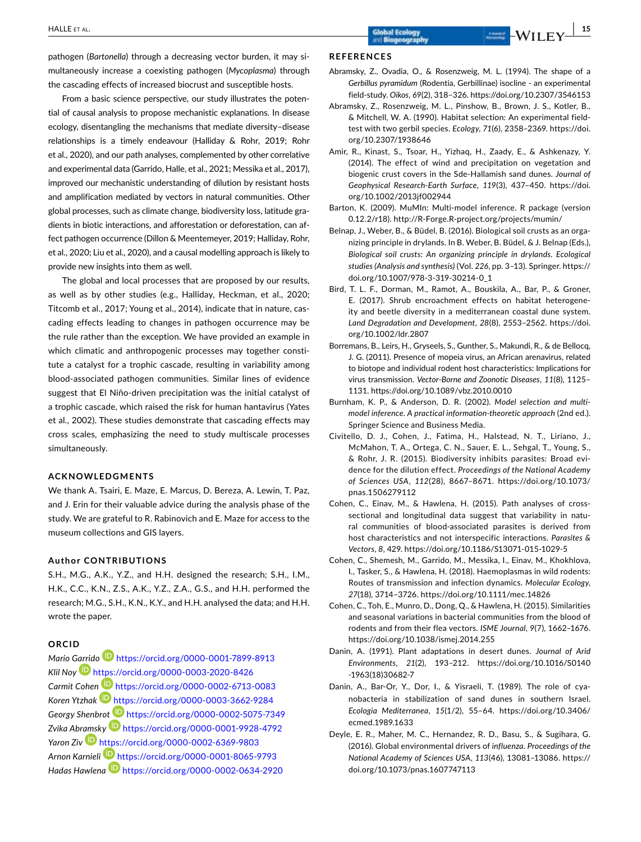pathogen (*Bartonella*) through a decreasing vector burden, it may simultaneously increase a coexisting pathogen (*Mycoplasma*) through the cascading effects of increased biocrust and susceptible hosts.

From a basic science perspective, our study illustrates the potential of causal analysis to propose mechanistic explanations. In disease ecology, disentangling the mechanisms that mediate diversity–disease relationships is a timely endeavour (Halliday & Rohr, 2019; Rohr et al., 2020), and our path analyses, complemented by other correlative and experimental data (Garrido, Halle, et al., 2021; Messika et al., 2017), improved our mechanistic understanding of dilution by resistant hosts and amplification mediated by vectors in natural communities. Other global processes, such as climate change, biodiversity loss, latitude gradients in biotic interactions, and afforestation or deforestation, can affect pathogen occurrence (Dillon & Meentemeyer, 2019; Halliday, Rohr, et al., 2020; Liu et al., 2020), and a causal modelling approach is likely to provide new insights into them as well.

The global and local processes that are proposed by our results, as well as by other studies (e.g., Halliday, Heckman, et al., 2020; Titcomb et al., 2017; Young et al., 2014), indicate that in nature, cascading effects leading to changes in pathogen occurrence may be the rule rather than the exception. We have provided an example in which climatic and anthropogenic processes may together constitute a catalyst for a trophic cascade, resulting in variability among blood-associated pathogen communities. Similar lines of evidence suggest that El Niño-driven precipitation was the initial catalyst of a trophic cascade, which raised the risk for human hantavirus (Yates et al., 2002). These studies demonstrate that cascading effects may cross scales, emphasizing the need to study multiscale processes simultaneously.

#### **ACKNOWLEDGMENTS**

We thank A. Tsairi, E. Maze, E. Marcus, D. Bereza, A. Lewin, T. Paz, and J. Erin for their valuable advice during the analysis phase of the study. We are grateful to R. Rabinovich and E. Maze for access to the museum collections and GIS layers.

#### **Author CONTRIBUTIONS**

S.H., M.G., A.K., Y.Z., and H.H. designed the research; S.H., I.M., H.K., C.C., K.N., Z.S., A.K., Y.Z., Z.A., G.S., and H.H. performed the research; M.G., S.H., K.N., K.Y., and H.H. analysed the data; and H.H. wrote the paper.

#### **ORCID**

*Mario [Garrid](https://orcid.org/0000-0003-2020-8426)o* <https://orcid.org/0000-0001-7899-8913> *Klil Noy* <https://orcid.org/0000-0003-2020-8426> *Carmit Cohe[n](https://orcid.org/0000-0003-3662-9284)* <https://orcid.org/0000-0002-6713-0083> *Koren Ytzhak* <https://orcid.org/0000-0003-3662-9284> *Georgy Shenbr[ot](https://orcid.org/0000-0001-9928-4792)* <https://orcid.org/0000-0002-5075-7349> *Zvika Ab[ramsk](https://orcid.org/0000-0002-6369-9803)y* <https://orcid.org/0000-0001-9928-4792> *Yaron Ziv* <https://orcid.org/0000-0002-6369-9803> *Arnon Karnieli* <https://orcid.org/0000-0001-8065-9793> *Hadas Hawlena* <https://orcid.org/0000-0002-0634-2920>

#### **REFERENCES**

- Abramsky, Z., Ovadia, O., & Rosenzweig, M. L. (1994). The shape of a *Gerbillus pyramidum* (Rodentia, Gerbillinae) isocline - an experimental field-study. *Oikos*, *69*(2), 318–326.<https://doi.org/10.2307/3546153>
- Abramsky, Z., Rosenzweig, M. L., Pinshow, B., Brown, J. S., Kotler, B., & Mitchell, W. A. (1990). Habitat selection: An experimental fieldtest with two gerbil species. *Ecology*, *71*(6), 2358–2369. [https://doi.](https://doi.org/10.2307/1938646) [org/10.2307/1938646](https://doi.org/10.2307/1938646)
- Amir, R., Kinast, S., Tsoar, H., Yizhaq, H., Zaady, E., & Ashkenazy, Y. (2014). The effect of wind and precipitation on vegetation and biogenic crust covers in the Sde-Hallamish sand dunes. *Journal of Geophysical Research-Earth Surface*, *119*(3), 437–450. [https://doi.](https://doi.org/10.1002/2013jf002944) [org/10.1002/2013jf002944](https://doi.org/10.1002/2013jf002944)
- Barton, K. (2009). MuMIn: Multi-model inference. R package (version 0.12.2/r18). <http://R-Forge.R-project.org/projects/mumin/>
- Belnap, J., Weber, B., & Büdel, B. (2016). Biological soil crusts as an organizing principle in drylands. In B. Weber, B. Büdel, & J. Belnap (Eds.), *Biological soil crusts: An organizing principle in drylands. Ecological studies (Analysis and synthesis)* (Vol. *226*, pp. 3–13). Springer. [https://](https://doi.org/10.1007/978-3-319-30214-0_1) [doi.org/10.1007/978-3-319-30214-0\\_1](https://doi.org/10.1007/978-3-319-30214-0_1)
- Bird, T. L. F., Dorman, M., Ramot, A., Bouskila, A., Bar, P., & Groner, E. (2017). Shrub encroachment effects on habitat heterogeneity and beetle diversity in a mediterranean coastal dune system. *Land Degradation and Development*, *28*(8), 2553–2562. [https://doi.](https://doi.org/10.1002/ldr.2807) [org/10.1002/ldr.2807](https://doi.org/10.1002/ldr.2807)
- Borremans, B., Leirs, H., Gryseels, S., Gunther, S., Makundi, R., & de Bellocq, J. G. (2011). Presence of mopeia virus, an African arenavirus, related to biotope and individual rodent host characteristics: Implications for virus transmission. *Vector-Borne and Zoonotic Diseases*, *11*(8), 1125– 1131. <https://doi.org/10.1089/vbz.2010.0010>
- Burnham, K. P., & Anderson, D. R. (2002). *Model selection and multimodel inference. A practical information-theoretic approach* (2nd ed.). Springer Science and Business Media.
- Civitello, D. J., Cohen, J., Fatima, H., Halstead, N. T., Liriano, J., McMahon, T. A., Ortega, C. N., Sauer, E. L., Sehgal, T., Young, S., & Rohr, J. R. (2015). Biodiversity inhibits parasites: Broad evidence for the dilution effect. *Proceedings of the National Academy of Sciences USA*, *112*(28), 8667–8671. [https://doi.org/10.1073/](https://doi.org/10.1073/pnas.1506279112) [pnas.1506279112](https://doi.org/10.1073/pnas.1506279112)
- Cohen, C., Einav, M., & Hawlena, H. (2015). Path analyses of crosssectional and longitudinal data suggest that variability in natural communities of blood-associated parasites is derived from host characteristics and not interspecific interactions. *Parasites & Vectors*, *8*, 429. <https://doi.org/10.1186/S13071-015-1029-5>
- Cohen, C., Shemesh, M., Garrido, M., Messika, I., Einav, M., Khokhlova, I., Tasker, S., & Hawlena, H. (2018). Haemoplasmas in wild rodents: Routes of transmission and infection dynamics. *Molecular Ecology*, *27*(18), 3714–3726.<https://doi.org/10.1111/mec.14826>
- Cohen, C., Toh, E., Munro, D., Dong, Q., & Hawlena, H. (2015). Similarities and seasonal variations in bacterial communities from the blood of rodents and from their flea vectors. *ISME Journal*, *9*(7), 1662–1676. <https://doi.org/10.1038/ismej.2014.255>
- Danin, A. (1991). Plant adaptations in desert dunes. *Journal of Arid Environments*, *21*(2), 193–212. [https://doi.org/10.1016/S0140](https://doi.org/10.1016/S0140-1963(18)30682-7) [-1963\(18\)30682-7](https://doi.org/10.1016/S0140-1963(18)30682-7)
- Danin, A., Bar-Or, Y., Dor, I., & Yisraeli, T. (1989). The role of cyanobacteria in stabilization of sand dunes in southern Israel. *Ecologia Mediterranea*, *15*(1/2), 55–64. [https://doi.org/10.3406/](https://doi.org/10.3406/ecmed.1989.1633) [ecmed.1989.1633](https://doi.org/10.3406/ecmed.1989.1633)
- Deyle, E. R., Maher, M. C., Hernandez, R. D., Basu, S., & Sugihara, G. (2016). Global environmental drivers of *influenza*. *Proceedings of the National Academy of Sciences USA*, *113*(46), 13081–13086. [https://](https://doi.org/10.1073/pnas.1607747113) [doi.org/10.1073/pnas.1607747113](https://doi.org/10.1073/pnas.1607747113)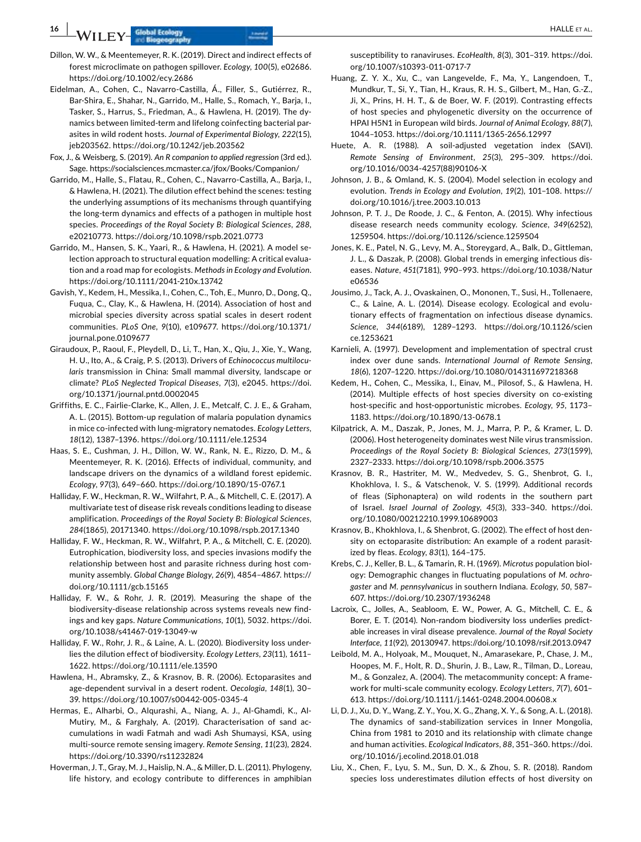- Dillon, W. W., & Meentemeyer, R. K. (2019). Direct and indirect effects of forest microclimate on pathogen spillover. *Ecology*, *100*(5), e02686. <https://doi.org/10.1002/ecy.2686>
- Eidelman, A., Cohen, C., Navarro-Castilla, Á., Filler, S., Gutiérrez, R., Bar-Shira, E., Shahar, N., Garrido, M., Halle, S., Romach, Y., Barja, I., Tasker, S., Harrus, S., Friedman, A., & Hawlena, H. (2019). The dynamics between limited-term and lifelong coinfecting bacterial parasites in wild rodent hosts. *Journal of Experimental Biology*, *222*(15), jeb203562. <https://doi.org/10.1242/jeb.203562>
- Fox, J., & Weisberg, S. (2019). *An R companion to applied regression* (3rd ed.). Sage. <https://socialsciences.mcmaster.ca/jfox/Books/Companion/>
- Garrido, M., Halle, S., Flatau, R., Cohen, C., Navarro-Castilla, A., Barja, I., & Hawlena, H. (2021). The dilution effect behind the scenes: testing the underlying assumptions of its mechanisms through quantifying the long-term dynamics and effects of a pathogen in multiple host species. *Proceedings of the Royal Society B: Biological Sciences*, *288*, e20210773.<https://doi.org/10.1098/rspb.2021.0773>
- Garrido, M., Hansen, S. K., Yaari, R., & Hawlena, H. (2021). A model selection approach to structural equation modelling: A critical evaluation and a road map for ecologists. *Methods in Ecology and Evolution*. <https://doi.org/10.1111/2041-210x.13742>
- Gavish, Y., Kedem, H., Messika, I., Cohen, C., Toh, E., Munro, D., Dong, Q., Fuqua, C., Clay, K., & Hawlena, H. (2014). Association of host and microbial species diversity across spatial scales in desert rodent communities. *PLoS One*, *9*(10), e109677. [https://doi.org/10.1371/](https://doi.org/10.1371/journal.pone.0109677) [journal.pone.0109677](https://doi.org/10.1371/journal.pone.0109677)
- Giraudoux, P., Raoul, F., Pleydell, D., Li, T., Han, X., Qiu, J., Xie, Y., Wang, H. U., Ito, A., & Craig, P. S. (2013). Drivers of *Echinococcus multilocularis* transmission in China: Small mammal diversity, landscape or climate? *PLoS Neglected Tropical Diseases*, *7*(3), e2045. [https://doi.](https://doi.org/10.1371/journal.pntd.0002045) [org/10.1371/journal.pntd.0002045](https://doi.org/10.1371/journal.pntd.0002045)
- Griffiths, E. C., Fairlie-Clarke, K., Allen, J. E., Metcalf, C. J. E., & Graham, A. L. (2015). Bottom-up regulation of malaria population dynamics in mice co-infected with lung-migratory nematodes. *Ecology Letters*, *18*(12), 1387–1396.<https://doi.org/10.1111/ele.12534>
- Haas, S. E., Cushman, J. H., Dillon, W. W., Rank, N. E., Rizzo, D. M., & Meentemeyer, R. K. (2016). Effects of individual, community, and landscape drivers on the dynamics of a wildland forest epidemic. *Ecology*, *97*(3), 649–660. <https://doi.org/10.1890/15-0767.1>
- Halliday, F. W., Heckman, R. W., Wilfahrt, P. A., & Mitchell, C. E. (2017). A multivariate test of disease risk reveals conditions leading to disease amplification. *Proceedings of the Royal Society B: Biological Sciences*, *284*(1865), 20171340. <https://doi.org/10.1098/rspb.2017.1340>
- Halliday, F. W., Heckman, R. W., Wilfahrt, P. A., & Mitchell, C. E. (2020). Eutrophication, biodiversity loss, and species invasions modify the relationship between host and parasite richness during host community assembly. *Global Change Biology*, *26*(9), 4854–4867. [https://](https://doi.org/10.1111/gcb.15165) [doi.org/10.1111/gcb.15165](https://doi.org/10.1111/gcb.15165)
- Halliday, F. W., & Rohr, J. R. (2019). Measuring the shape of the biodiversity-disease relationship across systems reveals new findings and key gaps. *Nature Communications*, *10*(1), 5032. [https://doi.](https://doi.org/10.1038/s41467-019-13049-w) [org/10.1038/s41467-019-13049-w](https://doi.org/10.1038/s41467-019-13049-w)
- Halliday, F. W., Rohr, J. R., & Laine, A. L. (2020). Biodiversity loss underlies the dilution effect of biodiversity. *Ecology Letters*, *23*(11), 1611– 1622. <https://doi.org/10.1111/ele.13590>
- Hawlena, H., Abramsky, Z., & Krasnov, B. R. (2006). Ectoparasites and age-dependent survival in a desert rodent. *Oecologia*, *148*(1), 30– 39.<https://doi.org/10.1007/s00442-005-0345-4>
- Hermas, E., Alharbi, O., Alqurashi, A., Niang, A. J., Al-Ghamdi, K., Al-Mutiry, M., & Farghaly, A. (2019). Characterisation of sand accumulations in wadi Fatmah and wadi Ash Shumaysi, KSA, using multi-source remote sensing imagery. *Remote Sensing*, *11*(23), 2824. <https://doi.org/10.3390/rs11232824>
- Hoverman, J. T., Gray, M. J., Haislip, N. A., & Miller, D. L. (2011). Phylogeny, life history, and ecology contribute to differences in amphibian

susceptibility to ranaviruses. *EcoHealth*, *8*(3), 301–319. [https://doi.](https://doi.org/10.1007/s10393-011-0717-7) [org/10.1007/s10393-011-0717-7](https://doi.org/10.1007/s10393-011-0717-7)

- Huang, Z. Y. X., Xu, C., van Langevelde, F., Ma, Y., Langendoen, T., Mundkur, T., Si, Y., Tian, H., Kraus, R. H. S., Gilbert, M., Han, G.-Z., Ji, X., Prins, H. H. T., & de Boer, W. F. (2019). Contrasting effects of host species and phylogenetic diversity on the occurrence of HPAI H5N1 in European wild birds. *Journal of Animal Ecology*, *88*(7), 1044–1053. <https://doi.org/10.1111/1365-2656.12997>
- Huete, A. R. (1988). A soil-adjusted vegetation index (SAVI). *Remote Sensing of Environment*, *25*(3), 295–309. [https://doi.](https://doi.org/10.1016/0034-4257(88)90106-X) [org/10.1016/0034-4257\(88\)90106-X](https://doi.org/10.1016/0034-4257(88)90106-X)
- Johnson, J. B., & Omland, K. S. (2004). Model selection in ecology and evolution. *Trends in Ecology and Evolution*, *19*(2), 101–108. [https://](https://doi.org/10.1016/j.tree.2003.10.013) [doi.org/10.1016/j.tree.2003.10.013](https://doi.org/10.1016/j.tree.2003.10.013)
- Johnson, P. T. J., De Roode, J. C., & Fenton, A. (2015). Why infectious disease research needs community ecology. *Science*, *349*(6252), 1259504.<https://doi.org/10.1126/science.1259504>
- Jones, K. E., Patel, N. G., Levy, M. A., Storeygard, A., Balk, D., Gittleman, J. L., & Daszak, P. (2008). Global trends in emerging infectious diseases. *Nature*, *451*(7181), 990–993. [https://doi.org/10.1038/Natur](https://doi.org/10.1038/Nature06536) [e06536](https://doi.org/10.1038/Nature06536)
- Jousimo, J., Tack, A. J., Ovaskainen, O., Mononen, T., Susi, H., Tollenaere, C., & Laine, A. L. (2014). Disease ecology. Ecological and evolutionary effects of fragmentation on infectious disease dynamics. *Science*, *344*(6189), 1289–1293. [https://doi.org/10.1126/scien](https://doi.org/10.1126/science.1253621) [ce.1253621](https://doi.org/10.1126/science.1253621)
- Karnieli, A. (1997). Development and implementation of spectral crust index over dune sands. *International Journal of Remote Sensing*, *18*(6), 1207–1220.<https://doi.org/10.1080/014311697218368>
- Kedem, H., Cohen, C., Messika, I., Einav, M., Pilosof, S., & Hawlena, H. (2014). Multiple effects of host species diversity on co-existing host-specific and host-opportunistic microbes. *Ecology*, *95*, 1173– 1183. <https://doi.org/10.1890/13-0678.1>
- Kilpatrick, A. M., Daszak, P., Jones, M. J., Marra, P. P., & Kramer, L. D. (2006). Host heterogeneity dominates west Nile virus transmission. *Proceedings of the Royal Society B: Biological Sciences*, *273*(1599), 2327–2333. <https://doi.org/10.1098/rspb.2006.3575>
- Krasnov, B. R., Hastriter, M. W., Medvedev, S. G., Shenbrot, G. I., Khokhlova, I. S., & Vatschenok, V. S. (1999). Additional records of fleas (Siphonaptera) on wild rodents in the southern part of Israel. *Israel Journal of Zoology*, *45*(3), 333–340. [https://doi.](https://doi.org/10.1080/00212210.1999.10689003) [org/10.1080/00212210.1999.10689003](https://doi.org/10.1080/00212210.1999.10689003)
- Krasnov, B., Khokhlova, I., & Shenbrot, G. (2002). The effect of host density on ectoparasite distribution: An example of a rodent parasitized by fleas. *Ecology*, *83*(1), 164–175.
- Krebs, C. J., Keller, B. L., & Tamarin, R. H. (1969). *Microtus* population biology: Demographic changes in fluctuating populations of *M. ochrogaster* and *M. pennsylvanicus* in southern Indiana. *Ecology*, *50*, 587– 607. <https://doi.org/10.2307/1936248>
- Lacroix, C., Jolles, A., Seabloom, E. W., Power, A. G., Mitchell, C. E., & Borer, E. T. (2014). Non-random biodiversity loss underlies predictable increases in viral disease prevalence. *Journal of the Royal Society Interface*, *11*(92), 20130947.<https://doi.org/10.1098/rsif.2013.0947>
- Leibold, M. A., Holyoak, M., Mouquet, N., Amarasekare, P., Chase, J. M., Hoopes, M. F., Holt, R. D., Shurin, J. B., Law, R., Tilman, D., Loreau, M., & Gonzalez, A. (2004). The metacommunity concept: A framework for multi-scale community ecology. *Ecology Letters*, *7*(7), 601– 613.<https://doi.org/10.1111/j.1461-0248.2004.00608.x>
- Li, D. J., Xu, D. Y., Wang, Z. Y., You, X. G., Zhang, X. Y., & Song, A. L. (2018). The dynamics of sand-stabilization services in Inner Mongolia, China from 1981 to 2010 and its relationship with climate change and human activities. *Ecological Indicators*, *88*, 351–360. [https://doi.](https://doi.org/10.1016/j.ecolind.2018.01.018) [org/10.1016/j.ecolind.2018.01.018](https://doi.org/10.1016/j.ecolind.2018.01.018)
- Liu, X., Chen, F., Lyu, S. M., Sun, D. X., & Zhou, S. R. (2018). Random species loss underestimates dilution effects of host diversity on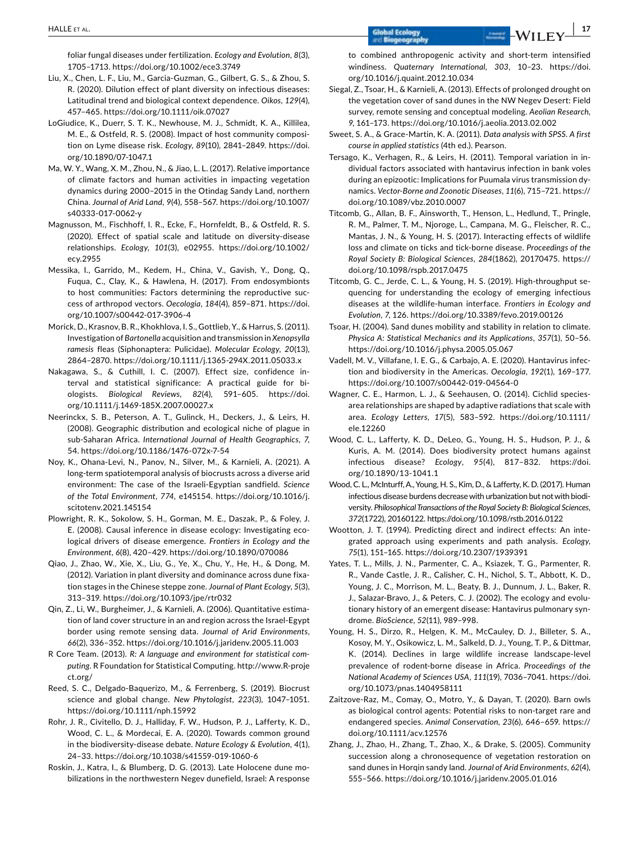foliar fungal diseases under fertilization. *Ecology and Evolution*, *8*(3), 1705–1713. <https://doi.org/10.1002/ece3.3749>

- Liu, X., Chen, L. F., Liu, M., Garcia-Guzman, G., Gilbert, G. S., & Zhou, S. R. (2020). Dilution effect of plant diversity on infectious diseases: Latitudinal trend and biological context dependence. *Oikos*, *129*(4), 457–465. <https://doi.org/10.1111/oik.07027>
- LoGiudice, K., Duerr, S. T. K., Newhouse, M. J., Schmidt, K. A., Killilea, M. E., & Ostfeld, R. S. (2008). Impact of host community composition on Lyme disease risk. *Ecology*, *89*(10), 2841–2849. [https://doi.](https://doi.org/10.1890/07-1047.1) [org/10.1890/07-1047.1](https://doi.org/10.1890/07-1047.1)
- Ma, W. Y., Wang, X. M., Zhou, N., & Jiao, L. L. (2017). Relative importance of climate factors and human activities in impacting vegetation dynamics during 2000–2015 in the Otindag Sandy Land, northern China. *Journal of Arid Land*, *9*(4), 558–567. [https://doi.org/10.1007/](https://doi.org/10.1007/s40333-017-0062-y) [s40333-017-0062-y](https://doi.org/10.1007/s40333-017-0062-y)
- Magnusson, M., Fischhoff, I. R., Ecke, F., Hornfeldt, B., & Ostfeld, R. S. (2020). Effect of spatial scale and latitude on diversity-disease relationships. *Ecology*, *101*(3), e02955. [https://doi.org/10.1002/](https://doi.org/10.1002/ecy.2955) [ecy.2955](https://doi.org/10.1002/ecy.2955)
- Messika, I., Garrido, M., Kedem, H., China, V., Gavish, Y., Dong, Q., Fuqua, C., Clay, K., & Hawlena, H. (2017). From endosymbionts to host communities: Factors determining the reproductive success of arthropod vectors. *Oecologia*, *184*(4), 859–871. [https://doi.](https://doi.org/10.1007/s00442-017-3906-4) [org/10.1007/s00442-017-3906-4](https://doi.org/10.1007/s00442-017-3906-4)
- Morick, D., Krasnov, B. R., Khokhlova, I. S., Gottlieb, Y., & Harrus, S. (2011). Investigation of *Bartonella* acquisition and transmission in *Xenopsylla ramesis* fleas (Siphonaptera: Pulicidae). *Molecular Ecology*, *20*(13), 2864–2870. <https://doi.org/10.1111/j.1365-294X.2011.05033.x>
- Nakagawa, S., & Cuthill, I. C. (2007). Effect size, confidence interval and statistical significance: A practical guide for biologists. *Biological Reviews*, *82*(4), 591–605. [https://doi.](https://doi.org/10.1111/j.1469-185X.2007.00027.x) [org/10.1111/j.1469-185X.2007.00027.x](https://doi.org/10.1111/j.1469-185X.2007.00027.x)
- Neerinckx, S. B., Peterson, A. T., Gulinck, H., Deckers, J., & Leirs, H. (2008). Geographic distribution and ecological niche of plague in sub-Saharan Africa. *International Journal of Health Geographics*, *7*, 54.<https://doi.org/10.1186/1476-072x-7-54>
- Noy, K., Ohana-Levi, N., Panov, N., Silver, M., & Karnieli, A. (2021). A long-term spatiotemporal analysis of biocrusts across a diverse arid environment: The case of the Israeli-Egyptian sandfield. *Science of the Total Environment*, *774*, e145154. [https://doi.org/10.1016/j.](https://doi.org/10.1016/j.scitotenv.2021.145154) [scitotenv.2021.145154](https://doi.org/10.1016/j.scitotenv.2021.145154)
- Plowright, R. K., Sokolow, S. H., Gorman, M. E., Daszak, P., & Foley, J. E. (2008). Causal inference in disease ecology: Investigating ecological drivers of disease emergence. *Frontiers in Ecology and the Environment*, *6*(8), 420–429. <https://doi.org/10.1890/070086>
- Qiao, J., Zhao, W., Xie, X., Liu, G., Ye, X., Chu, Y., He, H., & Dong, M. (2012). Variation in plant diversity and dominance across dune fixation stages in the Chinese steppe zone. *Journal of Plant Ecology*, *5*(3), 313–319. <https://doi.org/10.1093/jpe/rtr032>
- Qin, Z., Li, W., Burgheimer, J., & Karnieli, A. (2006). Quantitative estimation of land cover structure in an and region across the Israel-Egypt border using remote sensing data. *Journal of Arid Environments*, *66*(2), 336–352. <https://doi.org/10.1016/j.jaridenv.2005.11.003>
- R Core Team. (2013). *R: A language and environment for statistical computing*. R Foundation for Statistical Computing. [http://www.R-proje](http://www.R-project.org/) [ct.org/](http://www.R-project.org/)
- Reed, S. C., Delgado-Baquerizo, M., & Ferrenberg, S. (2019). Biocrust science and global change. *New Phytologist*, *223*(3), 1047–1051. <https://doi.org/10.1111/nph.15992>
- Rohr, J. R., Civitello, D. J., Halliday, F. W., Hudson, P. J., Lafferty, K. D., Wood, C. L., & Mordecai, E. A. (2020). Towards common ground in the biodiversity-disease debate. *Nature Ecology & Evolution*, *4*(1), 24–33.<https://doi.org/10.1038/s41559-019-1060-6>
- Roskin, J., Katra, I., & Blumberg, D. G. (2013). Late Holocene dune mobilizations in the northwestern Negev dunefield, Israel: A response

to combined anthropogenic activity and short-term intensified windiness. *Quaternary International*, *303*, 10–23. [https://doi.](https://doi.org/10.1016/j.quaint.2012.10.034) [org/10.1016/j.quaint.2012.10.034](https://doi.org/10.1016/j.quaint.2012.10.034)

- Siegal, Z., Tsoar, H., & Karnieli, A. (2013). Effects of prolonged drought on the vegetation cover of sand dunes in the NW Negev Desert: Field survey, remote sensing and conceptual modeling. *Aeolian Research*, *9*, 161–173. <https://doi.org/10.1016/j.aeolia.2013.02.002>
- Sweet, S. A., & Grace-Martin, K. A. (2011). *Data analysis with SPSS. A first course in applied statistics* (4th ed.). Pearson.
- Tersago, K., Verhagen, R., & Leirs, H. (2011). Temporal variation in individual factors associated with hantavirus infection in bank voles during an epizootic: Implications for Puumala virus transmission dynamics. *Vector-Borne and Zoonotic Diseases*, *11*(6), 715–721. [https://](https://doi.org/10.1089/vbz.2010.0007) [doi.org/10.1089/vbz.2010.0007](https://doi.org/10.1089/vbz.2010.0007)
- Titcomb, G., Allan, B. F., Ainsworth, T., Henson, L., Hedlund, T., Pringle, R. M., Palmer, T. M., Njoroge, L., Campana, M. G., Fleischer, R. C., Mantas, J. N., & Young, H. S. (2017). Interacting effects of wildlife loss and climate on ticks and tick-borne disease. *Proceedings of the Royal Society B: Biological Sciences*, *284*(1862), 20170475. [https://](https://doi.org/10.1098/rspb.2017.0475) [doi.org/10.1098/rspb.2017.0475](https://doi.org/10.1098/rspb.2017.0475)
- Titcomb, G. C., Jerde, C. L., & Young, H. S. (2019). High-throughput sequencing for understanding the ecology of emerging infectious diseases at the wildlife-human interface. *Frontiers in Ecology and Evolution*, *7*, 126. <https://doi.org/10.3389/fevo.2019.00126>
- Tsoar, H. (2004). Sand dunes mobility and stability in relation to climate. *Physica A: Statistical Mechanics and its Applications*, *357*(1), 50–56. <https://doi.org/10.1016/j.physa.2005.05.067>
- Vadell, M. V., Villafane, I. E. G., & Carbajo, A. E. (2020). Hantavirus infection and biodiversity in the Americas. *Oecologia*, *192*(1), 169–177. <https://doi.org/10.1007/s00442-019-04564-0>
- Wagner, C. E., Harmon, L. J., & Seehausen, O. (2014). Cichlid speciesarea relationships are shaped by adaptive radiations that scale with area. *Ecology Letters*, *17*(5), 583–592. [https://doi.org/10.1111/](https://doi.org/10.1111/ele.12260) [ele.12260](https://doi.org/10.1111/ele.12260)
- Wood, C. L., Lafferty, K. D., DeLeo, G., Young, H. S., Hudson, P. J., & Kuris, A. M. (2014). Does biodiversity protect humans against infectious disease? *Ecology*, *95*(4), 817–832. [https://doi.](https://doi.org/10.1890/13-1041.1) [org/10.1890/13-1041.1](https://doi.org/10.1890/13-1041.1)
- Wood, C. L., McInturff, A., Young, H. S., Kim, D., & Lafferty, K. D. (2017). Human infectious disease burdens decrease with urbanization but not with biodiversity. *Philosophical Transactions of the Royal Society B: Biological Sciences*, *372*(1722), 20160122.<https://doi.org/10.1098/rstb.2016.0122>
- Wootton, J. T. (1994). Predicting direct and indirect effects: An integrated approach using experiments and path analysis. *Ecology*, *75*(1), 151–165. <https://doi.org/10.2307/1939391>
- Yates, T. L., Mills, J. N., Parmenter, C. A., Ksiazek, T. G., Parmenter, R. R., Vande Castle, J. R., Calisher, C. H., Nichol, S. T., Abbott, K. D., Young, J. C., Morrison, M. L., Beaty, B. J., Dunnum, J. L., Baker, R. J., Salazar-Bravo, J., & Peters, C. J. (2002). The ecology and evolutionary history of an emergent disease: Hantavirus pulmonary syndrome. *BioScience*, *52*(11), 989–998.
- Young, H. S., Dirzo, R., Helgen, K. M., McCauley, D. J., Billeter, S. A., Kosoy, M. Y., Osikowicz, L. M., Salkeld, D. J., Young, T. P., & Dittmar, K. (2014). Declines in large wildlife increase landscape-level prevalence of rodent-borne disease in Africa. *Proceedings of the National Academy of Sciences USA*, *111*(19), 7036–7041. [https://doi.](https://doi.org/10.1073/pnas.1404958111) [org/10.1073/pnas.1404958111](https://doi.org/10.1073/pnas.1404958111)
- Zaitzove-Raz, M., Comay, O., Motro, Y., & Dayan, T. (2020). Barn owls as biological control agents: Potential risks to non-target rare and endangered species. *Animal Conservation*, *23*(6), 646–659. [https://](https://doi.org/10.1111/acv.12576) [doi.org/10.1111/acv.12576](https://doi.org/10.1111/acv.12576)
- Zhang, J., Zhao, H., Zhang, T., Zhao, X., & Drake, S. (2005). Community succession along a chronosequence of vegetation restoration on sand dunes in Horqin sandy land. *Journal of Arid Environments*, *62*(4), 555–566. <https://doi.org/10.1016/j.jaridenv.2005.01.016>